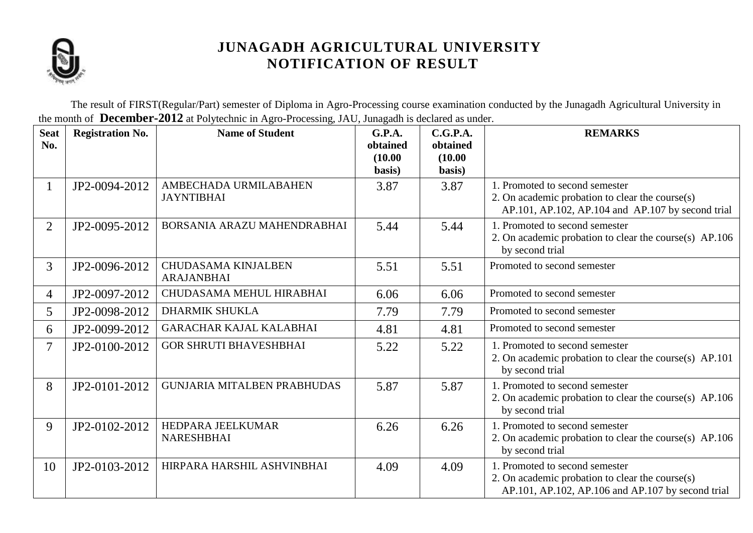

The result of FIRST(Regular/Part) semester of Diploma in Agro-Processing course examination conducted by the Junagadh Agricultural University in the month of **December-2012** at Polytechnic in Agro-Processing, JAU, Junagadh is declared as under.

| <b>Seat</b><br>No. | <b>Registration No.</b> | <b>Name of Student</b>                          | G.P.A.<br>obtained<br>(10.00)<br>basis) | C.G.P.A.<br>obtained<br>(10.00)<br>basis) | <b>REMARKS</b>                                                                                                                         |
|--------------------|-------------------------|-------------------------------------------------|-----------------------------------------|-------------------------------------------|----------------------------------------------------------------------------------------------------------------------------------------|
| $\mathbf{1}$       | JP2-0094-2012           | AMBECHADA URMILABAHEN<br><b>JAYNTIBHAI</b>      | 3.87                                    | 3.87                                      | 1. Promoted to second semester<br>2. On academic probation to clear the course(s)<br>AP.101, AP.102, AP.104 and AP.107 by second trial |
| 2                  | JP2-0095-2012           | BORSANIA ARAZU MAHENDRABHAI                     | 5.44                                    | 5.44                                      | 1. Promoted to second semester<br>2. On academic probation to clear the course(s) AP.106<br>by second trial                            |
| $\overline{3}$     | JP2-0096-2012           | <b>CHUDASAMA KINJALBEN</b><br><b>ARAJANBHAI</b> | 5.51                                    | 5.51                                      | Promoted to second semester                                                                                                            |
| 4                  | JP2-0097-2012           | CHUDASAMA MEHUL HIRABHAI                        | 6.06                                    | 6.06                                      | Promoted to second semester                                                                                                            |
| 5                  | JP2-0098-2012           | <b>DHARMIK SHUKLA</b>                           | 7.79                                    | 7.79                                      | Promoted to second semester                                                                                                            |
| 6                  | JP2-0099-2012           | <b>GARACHAR KAJAL KALABHAI</b>                  | 4.81                                    | 4.81                                      | Promoted to second semester                                                                                                            |
| 7                  | JP2-0100-2012           | <b>GOR SHRUTI BHAVESHBHAI</b>                   | 5.22                                    | 5.22                                      | 1. Promoted to second semester<br>2. On academic probation to clear the course(s) AP.101<br>by second trial                            |
| 8                  | JP2-0101-2012           | <b>GUNJARIA MITALBEN PRABHUDAS</b>              | 5.87                                    | 5.87                                      | 1. Promoted to second semester<br>2. On academic probation to clear the course(s) AP.106<br>by second trial                            |
| 9                  | JP2-0102-2012           | HEDPARA JEELKUMAR<br><b>NARESHBHAI</b>          | 6.26                                    | 6.26                                      | 1. Promoted to second semester<br>2. On academic probation to clear the course(s) AP.106<br>by second trial                            |
| 10                 | JP2-0103-2012           | HIRPARA HARSHIL ASHVINBHAI                      | 4.09                                    | 4.09                                      | 1. Promoted to second semester<br>2. On academic probation to clear the course(s)<br>AP.101, AP.102, AP.106 and AP.107 by second trial |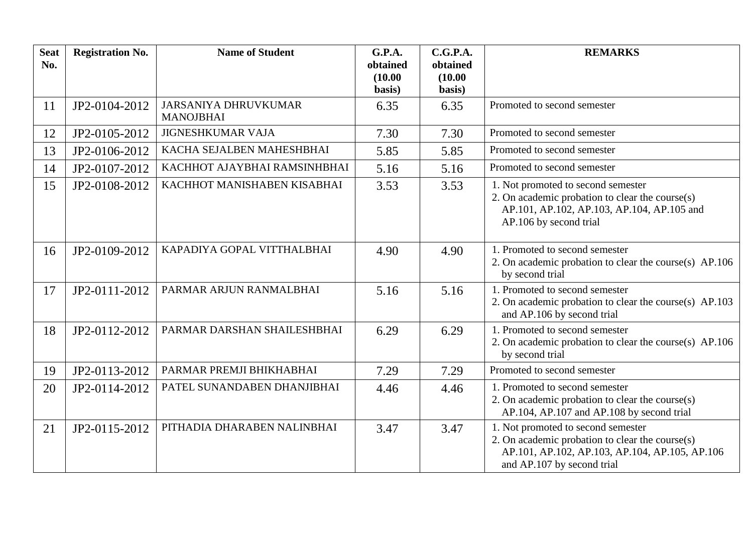| <b>Seat</b><br>No. | <b>Registration No.</b> | <b>Name of Student</b>                          | G.P.A.<br>obtained<br>(10.00)<br>basis) | C.G.P.A.<br>obtained<br>(10.00)<br>basis) | <b>REMARKS</b>                                                                                                                                                        |
|--------------------|-------------------------|-------------------------------------------------|-----------------------------------------|-------------------------------------------|-----------------------------------------------------------------------------------------------------------------------------------------------------------------------|
| 11                 | JP2-0104-2012           | <b>JARSANIYA DHRUVKUMAR</b><br><b>MANOJBHAI</b> | 6.35                                    | 6.35                                      | Promoted to second semester                                                                                                                                           |
| 12                 | JP2-0105-2012           | <b>JIGNESHKUMAR VAJA</b>                        | 7.30                                    | 7.30                                      | Promoted to second semester                                                                                                                                           |
| 13                 | JP2-0106-2012           | KACHA SEJALBEN MAHESHBHAI                       | 5.85                                    | 5.85                                      | Promoted to second semester                                                                                                                                           |
| 14                 | JP2-0107-2012           | KACHHOT AJAYBHAI RAMSINHBHAI                    | 5.16                                    | 5.16                                      | Promoted to second semester                                                                                                                                           |
| 15                 | JP2-0108-2012           | KACHHOT MANISHABEN KISABHAI                     | 3.53                                    | 3.53                                      | 1. Not promoted to second semester<br>2. On academic probation to clear the course(s)<br>AP.101, AP.102, AP.103, AP.104, AP.105 and<br>AP.106 by second trial         |
| 16                 | JP2-0109-2012           | KAPADIYA GOPAL VITTHALBHAI                      | 4.90                                    | 4.90                                      | 1. Promoted to second semester<br>2. On academic probation to clear the course(s) AP.106<br>by second trial                                                           |
| 17                 | JP2-0111-2012           | PARMAR ARJUN RANMALBHAI                         | 5.16                                    | 5.16                                      | 1. Promoted to second semester<br>2. On academic probation to clear the course(s) AP.103<br>and AP.106 by second trial                                                |
| 18                 | JP2-0112-2012           | PARMAR DARSHAN SHAILESHBHAI                     | 6.29                                    | 6.29                                      | 1. Promoted to second semester<br>2. On academic probation to clear the course(s) AP.106<br>by second trial                                                           |
| 19                 | JP2-0113-2012           | PARMAR PREMJI BHIKHABHAI                        | 7.29                                    | 7.29                                      | Promoted to second semester                                                                                                                                           |
| 20                 | JP2-0114-2012           | PATEL SUNANDABEN DHANJIBHAI                     | 4.46                                    | 4.46                                      | 1. Promoted to second semester<br>2. On academic probation to clear the course(s)<br>AP.104, AP.107 and AP.108 by second trial                                        |
| 21                 | JP2-0115-2012           | PITHADIA DHARABEN NALINBHAI                     | 3.47                                    | 3.47                                      | 1. Not promoted to second semester<br>2. On academic probation to clear the course(s)<br>AP.101, AP.102, AP.103, AP.104, AP.105, AP.106<br>and AP.107 by second trial |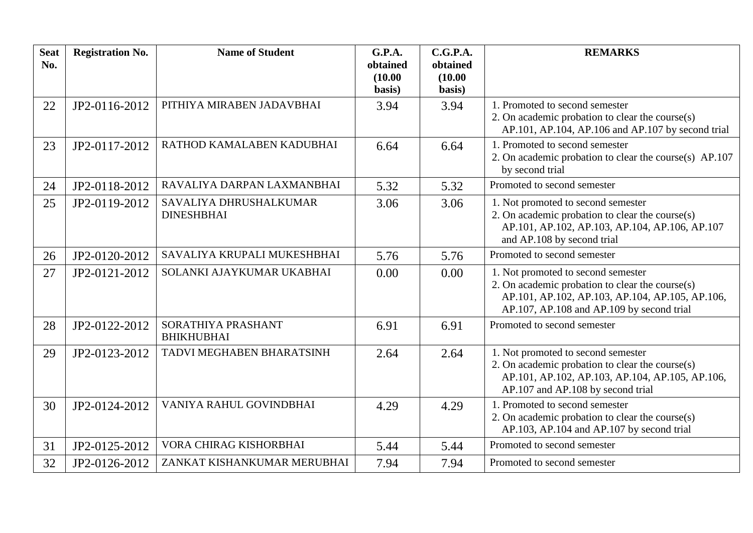| <b>Seat</b><br>No. | <b>Registration No.</b> | <b>Name of Student</b>                      | G.P.A.<br>obtained<br>(10.00)<br>basis) | C.G.P.A.<br>obtained<br>(10.00)<br>basis) | <b>REMARKS</b>                                                                                                                                                                        |
|--------------------|-------------------------|---------------------------------------------|-----------------------------------------|-------------------------------------------|---------------------------------------------------------------------------------------------------------------------------------------------------------------------------------------|
| 22                 | JP2-0116-2012           | PITHIYA MIRABEN JADAVBHAI                   | 3.94                                    | 3.94                                      | 1. Promoted to second semester<br>2. On academic probation to clear the course(s)<br>AP.101, AP.104, AP.106 and AP.107 by second trial                                                |
| 23                 | JP2-0117-2012           | RATHOD KAMALABEN KADUBHAI                   | 6.64                                    | 6.64                                      | 1. Promoted to second semester<br>2. On academic probation to clear the course(s) AP.107<br>by second trial                                                                           |
| 24                 | JP2-0118-2012           | RAVALIYA DARPAN LAXMANBHAI                  | 5.32                                    | 5.32                                      | Promoted to second semester                                                                                                                                                           |
| 25                 | JP2-0119-2012           | SAVALIYA DHRUSHALKUMAR<br><b>DINESHBHAI</b> | 3.06                                    | 3.06                                      | 1. Not promoted to second semester<br>2. On academic probation to clear the course(s)<br>AP.101, AP.102, AP.103, AP.104, AP.106, AP.107<br>and AP.108 by second trial                 |
| 26                 | JP2-0120-2012           | SAVALIYA KRUPALI MUKESHBHAI                 | 5.76                                    | 5.76                                      | Promoted to second semester                                                                                                                                                           |
| 27                 | JP2-0121-2012           | SOLANKI AJAYKUMAR UKABHAI                   | 0.00                                    | 0.00                                      | 1. Not promoted to second semester<br>2. On academic probation to clear the course(s)<br>AP.101, AP.102, AP.103, AP.104, AP.105, AP.106,<br>AP.107, AP.108 and AP.109 by second trial |
| 28                 | JP2-0122-2012           | SORATHIYA PRASHANT<br><b>BHIKHUBHAI</b>     | 6.91                                    | 6.91                                      | Promoted to second semester                                                                                                                                                           |
| 29                 | JP2-0123-2012           | TADVI MEGHABEN BHARATSINH                   | 2.64                                    | 2.64                                      | 1. Not promoted to second semester<br>2. On academic probation to clear the course(s)<br>AP.101, AP.102, AP.103, AP.104, AP.105, AP.106,<br>AP.107 and AP.108 by second trial         |
| 30                 | JP2-0124-2012           | VANIYA RAHUL GOVINDBHAI                     | 4.29                                    | 4.29                                      | 1. Promoted to second semester<br>2. On academic probation to clear the course(s)<br>AP.103, AP.104 and AP.107 by second trial                                                        |
| 31                 | JP2-0125-2012           | VORA CHIRAG KISHORBHAI                      | 5.44                                    | 5.44                                      | Promoted to second semester                                                                                                                                                           |
| 32                 | JP2-0126-2012           | ZANKAT KISHANKUMAR MERUBHAI                 | 7.94                                    | 7.94                                      | Promoted to second semester                                                                                                                                                           |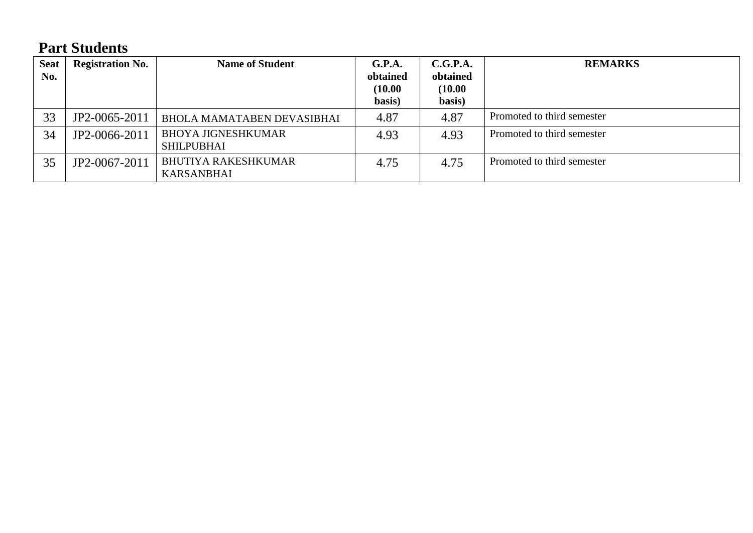# **Part Students**

| <b>Seat</b><br>No. | <b>Registration No.</b> | <b>Name of Student</b>                          | G.P.A.<br>obtained<br>(10.00)<br>basis) | C.G.P.A.<br>obtained<br>(10.00)<br>basis) | <b>REMARKS</b>             |
|--------------------|-------------------------|-------------------------------------------------|-----------------------------------------|-------------------------------------------|----------------------------|
| 33                 | JP2-0065-2011           | <b>BHOLA MAMATABEN DEVASIBHAI</b>               | 4.87                                    | 4.87                                      | Promoted to third semester |
| 34                 | JP2-0066-2011           | <b>BHOYA JIGNESHKUMAR</b><br><b>SHILPUBHAI</b>  | 4.93                                    | 4.93                                      | Promoted to third semester |
| 35                 | JP2-0067-2011           | <b>BHUTIYA RAKESHKUMAR</b><br><b>KARSANBHAI</b> | 4.75                                    | 4.75                                      | Promoted to third semester |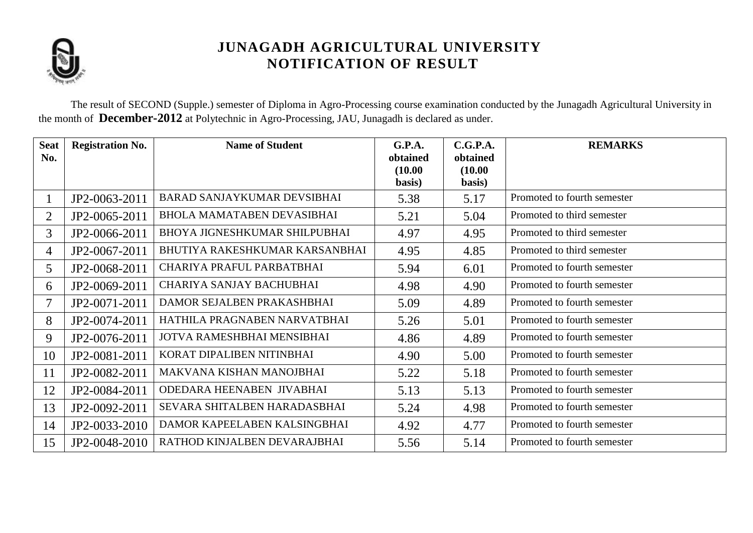

The result of SECOND (Supple.) semester of Diploma in Agro-Processing course examination conducted by the Junagadh Agricultural University in the month of **December-2012** at Polytechnic in Agro-Processing, JAU, Junagadh is declared as under.

| <b>Seat</b>    | <b>Registration No.</b> | <b>Name of Student</b>             | G.P.A.              | C.G.P.A.            | <b>REMARKS</b>              |
|----------------|-------------------------|------------------------------------|---------------------|---------------------|-----------------------------|
| No.            |                         |                                    | obtained<br>(10.00) | obtained<br>(10.00) |                             |
|                |                         |                                    | basis)              | basis)              |                             |
|                | JP2-0063-2011           | <b>BARAD SANJAYKUMAR DEVSIBHAI</b> | 5.38                | 5.17                | Promoted to fourth semester |
| $\overline{2}$ | JP2-0065-2011           | <b>BHOLA MAMATABEN DEVASIBHAI</b>  | 5.21                | 5.04                | Promoted to third semester  |
| $\overline{3}$ | JP2-0066-2011           | BHOYA JIGNESHKUMAR SHILPUBHAI      | 4.97                | 4.95                | Promoted to third semester  |
| $\overline{4}$ | JP2-0067-2011           | BHUTIYA RAKESHKUMAR KARSANBHAI     | 4.95                | 4.85                | Promoted to third semester  |
| $5^{\circ}$    | JP2-0068-2011           | CHARIYA PRAFUL PARBATBHAI          | 5.94                | 6.01                | Promoted to fourth semester |
| 6              | JP2-0069-2011           | CHARIYA SANJAY BACHUBHAI           | 4.98                | 4.90                | Promoted to fourth semester |
| 7              | JP2-0071-2011           | DAMOR SEJALBEN PRAKASHBHAI         | 5.09                | 4.89                | Promoted to fourth semester |
| 8              | JP2-0074-2011           | HATHILA PRAGNABEN NARVATBHAI       | 5.26                | 5.01                | Promoted to fourth semester |
| 9              | JP2-0076-2011           | JOTVA RAMESHBHAI MENSIBHAI         | 4.86                | 4.89                | Promoted to fourth semester |
| 10             | JP2-0081-2011           | KORAT DIPALIBEN NITINBHAI          | 4.90                | 5.00                | Promoted to fourth semester |
| 11             | JP2-0082-2011           | MAKVANA KISHAN MANOJBHAI           | 5.22                | 5.18                | Promoted to fourth semester |
| 12             | JP2-0084-2011           | ODEDARA HEENABEN JIVABHAI          | 5.13                | 5.13                | Promoted to fourth semester |
| 13             | JP2-0092-2011           | SEVARA SHITALBEN HARADASBHAI       | 5.24                | 4.98                | Promoted to fourth semester |
| 14             | JP2-0033-2010           | DAMOR KAPEELABEN KALSINGBHAI       | 4.92                | 4.77                | Promoted to fourth semester |
| 15             | JP2-0048-2010           | RATHOD KINJALBEN DEVARAJBHAI       | 5.56                | 5.14                | Promoted to fourth semester |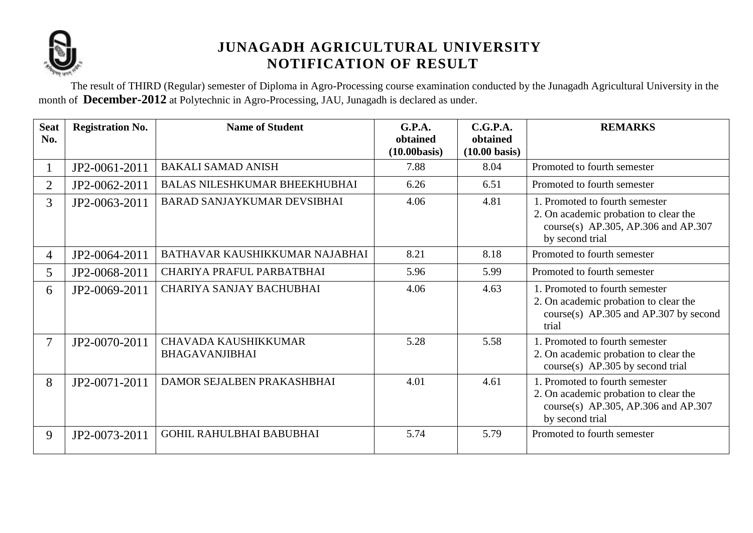

The result of THIRD (Regular) semester of Diploma in Agro-Processing course examination conducted by the Junagadh Agricultural University in the month of **December-2012** at Polytechnic in Agro-Processing, JAU, Junagadh is declared as under.

| <b>Seat</b><br>No. | <b>Registration No.</b> | <b>Name of Student</b>                               | G.P.A.<br>obtained<br>(10.00 basis) | C.G.P.A.<br>obtained<br>$(10.00 \text{ basis})$ | <b>REMARKS</b>                                                                                                                    |
|--------------------|-------------------------|------------------------------------------------------|-------------------------------------|-------------------------------------------------|-----------------------------------------------------------------------------------------------------------------------------------|
|                    | JP2-0061-2011           | <b>BAKALI SAMAD ANISH</b>                            | 7.88                                | 8.04                                            | Promoted to fourth semester                                                                                                       |
| $\overline{2}$     | JP2-0062-2011           | <b>BALAS NILESHKUMAR BHEEKHUBHAI</b>                 | 6.26                                | 6.51                                            | Promoted to fourth semester                                                                                                       |
| $\overline{3}$     | JP2-0063-2011           | BARAD SANJAYKUMAR DEVSIBHAI                          | 4.06                                | 4.81                                            | 1. Promoted to fourth semester<br>2. On academic probation to clear the<br>course(s) AP.305, AP.306 and AP.307<br>by second trial |
| $\overline{4}$     | JP2-0064-2011           | BATHAVAR KAUSHIKKUMAR NAJABHAI                       | 8.21                                | 8.18                                            | Promoted to fourth semester                                                                                                       |
| 5 <sup>5</sup>     | JP2-0068-2011           | CHARIYA PRAFUL PARBATBHAI                            | 5.96                                | 5.99                                            | Promoted to fourth semester                                                                                                       |
| 6                  | JP2-0069-2011           | CHARIYA SANJAY BACHUBHAI                             | 4.06                                | 4.63                                            | 1. Promoted to fourth semester<br>2. On academic probation to clear the<br>course(s) $AP.305$ and $AP.307$ by second<br>trial     |
| $\overline{7}$     | JP2-0070-2011           | <b>CHAVADA KAUSHIKKUMAR</b><br><b>BHAGAVANJIBHAI</b> | 5.28                                | 5.58                                            | 1. Promoted to fourth semester<br>2. On academic probation to clear the<br>$course(s)$ AP.305 by second trial                     |
| 8                  | JP2-0071-2011           | DAMOR SEJALBEN PRAKASHBHAI                           | 4.01                                | 4.61                                            | 1. Promoted to fourth semester<br>2. On academic probation to clear the<br>course(s) AP.305, AP.306 and AP.307<br>by second trial |
| 9                  | JP2-0073-2011           | <b>GOHIL RAHULBHAI BABUBHAI</b>                      | 5.74                                | 5.79                                            | Promoted to fourth semester                                                                                                       |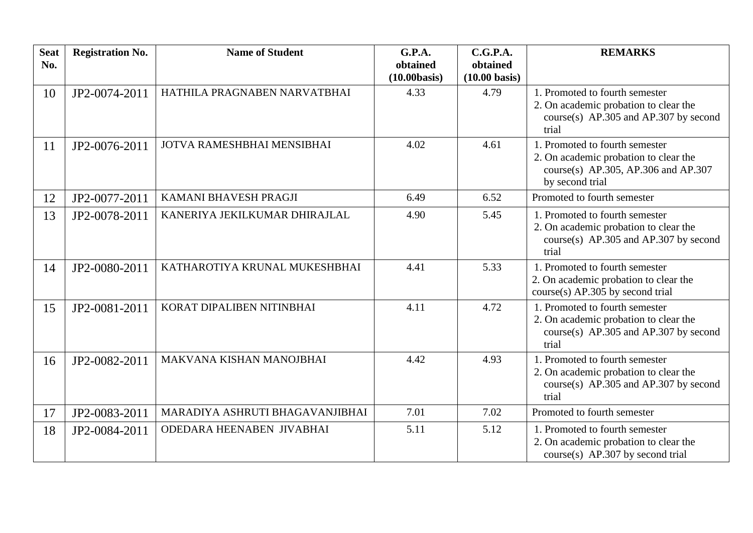| <b>Seat</b><br>No. | <b>Registration No.</b> | <b>Name of Student</b>          | G.P.A.<br>obtained<br>(10.00 basis) | C.G.P.A.<br>obtained<br>$(10.00 \text{ basis})$ | <b>REMARKS</b>                                                                                                                    |
|--------------------|-------------------------|---------------------------------|-------------------------------------|-------------------------------------------------|-----------------------------------------------------------------------------------------------------------------------------------|
| 10                 | JP2-0074-2011           | HATHILA PRAGNABEN NARVATBHAI    | 4.33                                | 4.79                                            | 1. Promoted to fourth semester<br>2. On academic probation to clear the<br>course(s) $AP.305$ and $AP.307$ by second<br>trial     |
| 11                 | JP2-0076-2011           | JOTVA RAMESHBHAI MENSIBHAI      | 4.02                                | 4.61                                            | 1. Promoted to fourth semester<br>2. On academic probation to clear the<br>course(s) AP.305, AP.306 and AP.307<br>by second trial |
| 12                 | JP2-0077-2011           | KAMANI BHAVESH PRAGJI           | 6.49                                | 6.52                                            | Promoted to fourth semester                                                                                                       |
| 13                 | JP2-0078-2011           | KANERIYA JEKILKUMAR DHIRAJLAL   | 4.90                                | 5.45                                            | 1. Promoted to fourth semester<br>2. On academic probation to clear the<br>course(s) $AP.305$ and $AP.307$ by second<br>trial     |
| 14                 | JP2-0080-2011           | KATHAROTIYA KRUNAL MUKESHBHAI   | 4.41                                | 5.33                                            | 1. Promoted to fourth semester<br>2. On academic probation to clear the<br>$course(s)$ AP.305 by second trial                     |
| 15                 | JP2-0081-2011           | KORAT DIPALIBEN NITINBHAI       | 4.11                                | 4.72                                            | 1. Promoted to fourth semester<br>2. On academic probation to clear the<br>course(s) $AP.305$ and $AP.307$ by second<br>trial     |
| 16                 | JP2-0082-2011           | MAKVANA KISHAN MANOJBHAI        | 4.42                                | 4.93                                            | 1. Promoted to fourth semester<br>2. On academic probation to clear the<br>course(s) $AP.305$ and $AP.307$ by second<br>trial     |
| 17                 | JP2-0083-2011           | MARADIYA ASHRUTI BHAGAVANJIBHAI | 7.01                                | 7.02                                            | Promoted to fourth semester                                                                                                       |
| 18                 | JP2-0084-2011           | ODEDARA HEENABEN JIVABHAI       | 5.11                                | 5.12                                            | 1. Promoted to fourth semester<br>2. On academic probation to clear the<br>course(s) $AP.307$ by second trial                     |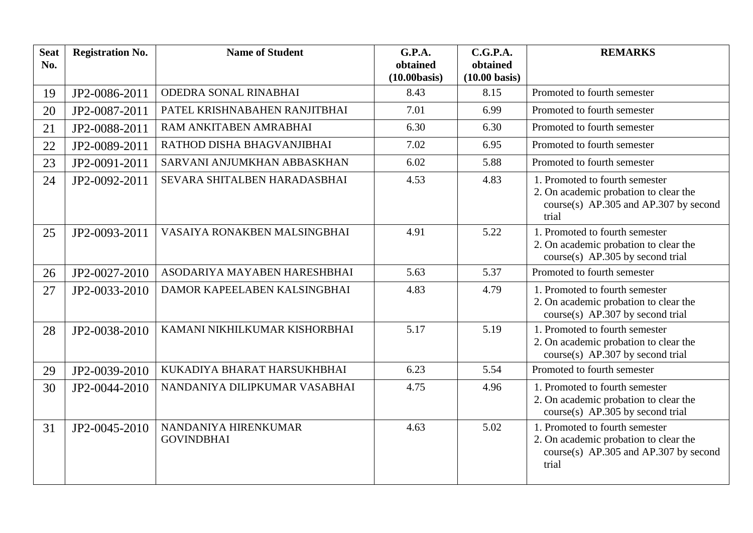| <b>Seat</b><br>No. | <b>Registration No.</b> | <b>Name of Student</b>                    | G.P.A.<br>obtained | C.G.P.A.<br>obtained    | <b>REMARKS</b>                                                                                                                |
|--------------------|-------------------------|-------------------------------------------|--------------------|-------------------------|-------------------------------------------------------------------------------------------------------------------------------|
|                    |                         |                                           | (10.00 basis)      | $(10.00 \text{ basis})$ |                                                                                                                               |
| 19                 | JP2-0086-2011           | ODEDRA SONAL RINABHAI                     | 8.43               | 8.15                    | Promoted to fourth semester                                                                                                   |
| 20                 | JP2-0087-2011           | PATEL KRISHNABAHEN RANJITBHAI             | 7.01               | 6.99                    | Promoted to fourth semester                                                                                                   |
| 21                 | JP2-0088-2011           | RAM ANKITABEN AMRABHAI                    | 6.30               | 6.30                    | Promoted to fourth semester                                                                                                   |
| 22                 | JP2-0089-2011           | RATHOD DISHA BHAGVANJIBHAI                | 7.02               | 6.95                    | Promoted to fourth semester                                                                                                   |
| 23                 | JP2-0091-2011           | SARVANI ANJUMKHAN ABBASKHAN               | 6.02               | 5.88                    | Promoted to fourth semester                                                                                                   |
| 24                 | JP2-0092-2011           | SEVARA SHITALBEN HARADASBHAI              | 4.53               | 4.83                    | 1. Promoted to fourth semester<br>2. On academic probation to clear the<br>course(s) $AP.305$ and $AP.307$ by second<br>trial |
| 25                 | JP2-0093-2011           | VASAIYA RONAKBEN MALSINGBHAI              | 4.91               | 5.22                    | 1. Promoted to fourth semester<br>2. On academic probation to clear the<br>$course(s)$ AP.305 by second trial                 |
| 26                 | JP2-0027-2010           | ASODARIYA MAYABEN HARESHBHAI              | 5.63               | 5.37                    | Promoted to fourth semester                                                                                                   |
| 27                 | JP2-0033-2010           | DAMOR KAPEELABEN KALSINGBHAI              | 4.83               | 4.79                    | 1. Promoted to fourth semester<br>2. On academic probation to clear the<br>course(s) AP.307 by second trial                   |
| 28                 | JP2-0038-2010           | KAMANI NIKHILKUMAR KISHORBHAI             | 5.17               | 5.19                    | 1. Promoted to fourth semester<br>2. On academic probation to clear the<br>course(s) AP.307 by second trial                   |
| 29                 | JP2-0039-2010           | KUKADIYA BHARAT HARSUKHBHAI               | 6.23               | 5.54                    | Promoted to fourth semester                                                                                                   |
| 30                 | JP2-0044-2010           | NANDANIYA DILIPKUMAR VASABHAI             | 4.75               | 4.96                    | 1. Promoted to fourth semester<br>2. On academic probation to clear the<br>course(s) AP.305 by second trial                   |
| 31                 | JP2-0045-2010           | NANDANIYA HIRENKUMAR<br><b>GOVINDBHAI</b> | 4.63               | 5.02                    | 1. Promoted to fourth semester<br>2. On academic probation to clear the<br>course(s) $AP.305$ and $AP.307$ by second<br>trial |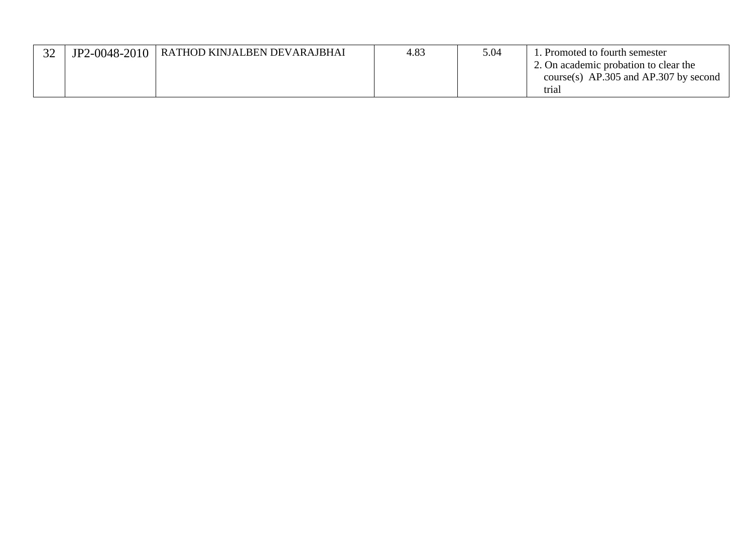| $\Omega$ | JP2-0048-2010 | RATHOD KINJALBEN DEVARAJBHAI | 4.83 | 5.04 | 1. Promoted to fourth semester            |
|----------|---------------|------------------------------|------|------|-------------------------------------------|
|          |               |                              |      |      | 2. On academic probation to clear the     |
|          |               |                              |      |      | course(s) $AP.305$ and $AP.307$ by second |
|          |               |                              |      |      | trial                                     |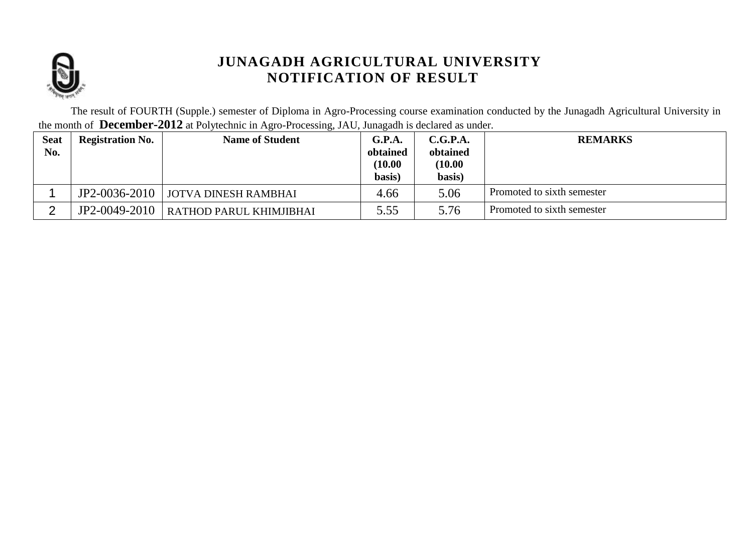

The result of FOURTH (Supple.) semester of Diploma in Agro-Processing course examination conducted by the Junagadh Agricultural University in the month of **December-2012** at Polytechnic in Agro-Processing, JAU, Junagadh is declared as under.

| <b>Seat</b><br>No. | <b>Registration No.</b> | <b>Name of Student</b>                  | G.P.A.<br>obtained<br>(10.00)<br>basis) | C.G.P.A.<br>obtained<br>(10.00)<br>basis) | <b>REMARKS</b>             |
|--------------------|-------------------------|-----------------------------------------|-----------------------------------------|-------------------------------------------|----------------------------|
|                    |                         | JP2-0036-2010   JOTVA DINESH RAMBHAI    | 4.66                                    | 5.06                                      | Promoted to sixth semester |
| ⌒                  |                         | JP2-0049-2010   RATHOD PARUL KHIMJIBHAI | 5.55                                    | 5.76                                      | Promoted to sixth semester |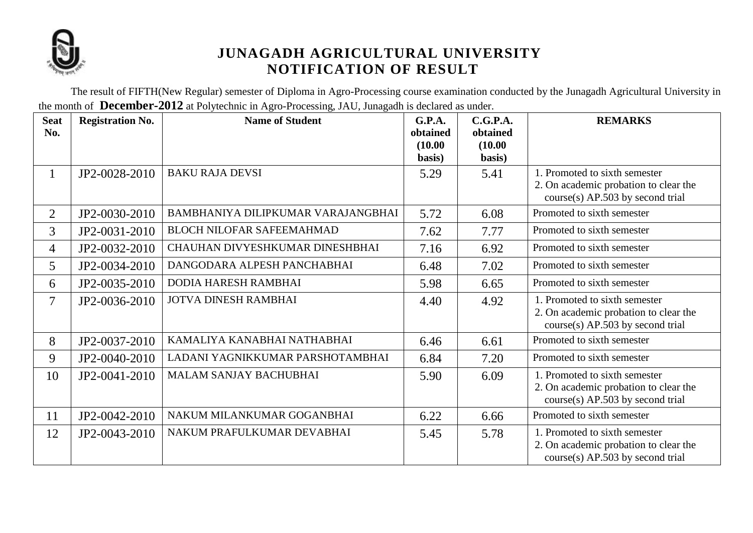

The result of FIFTH(New Regular) semester of Diploma in Agro-Processing course examination conducted by the Junagadh Agricultural University in the month of **December-2012** at Polytechnic in Agro-Processing, JAU, Junagadh is declared as under.

| <b>Seat</b><br>No.       | <b>Registration No.</b> | <b>Name of Student</b>             | G.P.A.<br>obtained<br>(10.00)<br>basis) | C.G.P.A.<br>obtained<br>(10.00)<br>basis) | <b>REMARKS</b>                                                                                               |
|--------------------------|-------------------------|------------------------------------|-----------------------------------------|-------------------------------------------|--------------------------------------------------------------------------------------------------------------|
| 1                        | JP2-0028-2010           | <b>BAKU RAJA DEVSI</b>             | 5.29                                    | 5.41                                      | 1. Promoted to sixth semester<br>2. On academic probation to clear the<br>course(s) AP.503 by second trial   |
| $\overline{2}$           | JP2-0030-2010           | BAMBHANIYA DILIPKUMAR VARAJANGBHAI | 5.72                                    | 6.08                                      | Promoted to sixth semester                                                                                   |
| $\overline{3}$           | JP2-0031-2010           | <b>BLOCH NILOFAR SAFEEMAHMAD</b>   | 7.62                                    | 7.77                                      | Promoted to sixth semester                                                                                   |
| 4                        | JP2-0032-2010           | CHAUHAN DIVYESHKUMAR DINESHBHAI    | 7.16                                    | 6.92                                      | Promoted to sixth semester                                                                                   |
| 5                        | JP2-0034-2010           | DANGODARA ALPESH PANCHABHAI        | 6.48                                    | 7.02                                      | Promoted to sixth semester                                                                                   |
| 6                        | JP2-0035-2010           | <b>DODIA HARESH RAMBHAI</b>        | 5.98                                    | 6.65                                      | Promoted to sixth semester                                                                                   |
| $\overline{\mathcal{I}}$ | JP2-0036-2010           | <b>JOTVA DINESH RAMBHAI</b>        | 4.40                                    | 4.92                                      | 1. Promoted to sixth semester<br>2. On academic probation to clear the<br>course(s) AP.503 by second trial   |
| 8                        | JP2-0037-2010           | KAMALIYA KANABHAI NATHABHAI        | 6.46                                    | 6.61                                      | Promoted to sixth semester                                                                                   |
| 9                        | JP2-0040-2010           | LADANI YAGNIKKUMAR PARSHOTAMBHAI   | 6.84                                    | 7.20                                      | Promoted to sixth semester                                                                                   |
| 10                       | JP2-0041-2010           | <b>MALAM SANJAY BACHUBHAI</b>      | 5.90                                    | 6.09                                      | 1. Promoted to sixth semester<br>2. On academic probation to clear the<br>course(s) AP.503 by second trial   |
| 11                       | JP2-0042-2010           | NAKUM MILANKUMAR GOGANBHAI         | 6.22                                    | 6.66                                      | Promoted to sixth semester                                                                                   |
| 12                       | JP2-0043-2010           | NAKUM PRAFULKUMAR DEVABHAI         | 5.45                                    | 5.78                                      | 1. Promoted to sixth semester<br>2. On academic probation to clear the<br>$course(s)$ AP.503 by second trial |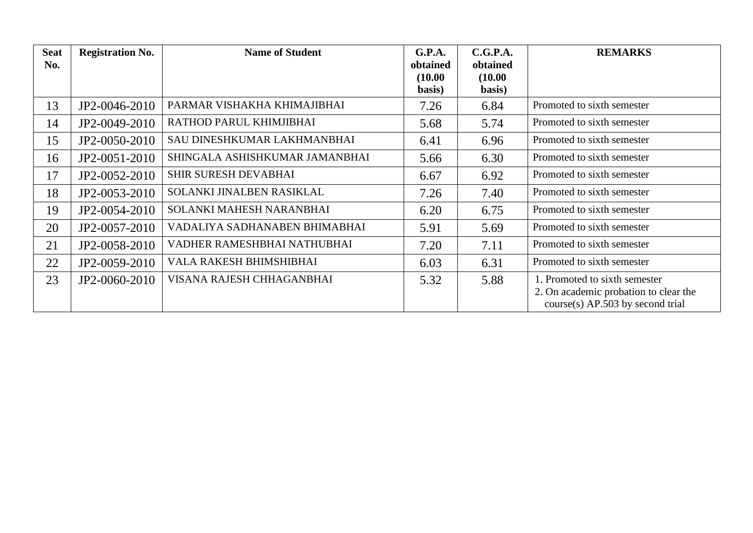| <b>Seat</b><br>No. | <b>Registration No.</b> | <b>Name of Student</b>         | G.P.A.<br>obtained<br>(10.00)<br>basis) | C.G.P.A.<br>obtained<br>(10.00)<br>basis) | <b>REMARKS</b>                                                                                               |
|--------------------|-------------------------|--------------------------------|-----------------------------------------|-------------------------------------------|--------------------------------------------------------------------------------------------------------------|
| 13                 | JP2-0046-2010           | PARMAR VISHAKHA KHIMAJIBHAI    | 7.26                                    | 6.84                                      | Promoted to sixth semester                                                                                   |
| 14                 | JP2-0049-2010           | RATHOD PARUL KHIMJIBHAI        | 5.68                                    | 5.74                                      | Promoted to sixth semester                                                                                   |
| 15                 | JP2-0050-2010           | SAU DINESHKUMAR LAKHMANBHAI    | 6.41                                    | 6.96                                      | Promoted to sixth semester                                                                                   |
| 16                 | JP2-0051-2010           | SHINGALA ASHISHKUMAR JAMANBHAI | 5.66                                    | 6.30                                      | Promoted to sixth semester                                                                                   |
| 17                 | JP2-0052-2010           | <b>SHIR SURESH DEVABHAI</b>    | 6.67                                    | 6.92                                      | Promoted to sixth semester                                                                                   |
| 18                 | JP2-0053-2010           | SOLANKI JINALBEN RASIKLAL      | 7.26                                    | 7.40                                      | Promoted to sixth semester                                                                                   |
| 19                 | JP2-0054-2010           | SOLANKI MAHESH NARANBHAI       | 6.20                                    | 6.75                                      | Promoted to sixth semester                                                                                   |
| 20                 | JP2-0057-2010           | VADALIYA SADHANABEN BHIMABHAI  | 5.91                                    | 5.69                                      | Promoted to sixth semester                                                                                   |
| 21                 | JP2-0058-2010           | VADHER RAMESHBHAI NATHUBHAI    | 7.20                                    | 7.11                                      | Promoted to sixth semester                                                                                   |
| 22                 | JP2-0059-2010           | VALA RAKESH BHIMSHIBHAI        | 6.03                                    | 6.31                                      | Promoted to sixth semester                                                                                   |
| 23                 | JP2-0060-2010           | VISANA RAJESH CHHAGANBHAI      | 5.32                                    | 5.88                                      | 1. Promoted to sixth semester<br>2. On academic probation to clear the<br>$course(s)$ AP.503 by second trial |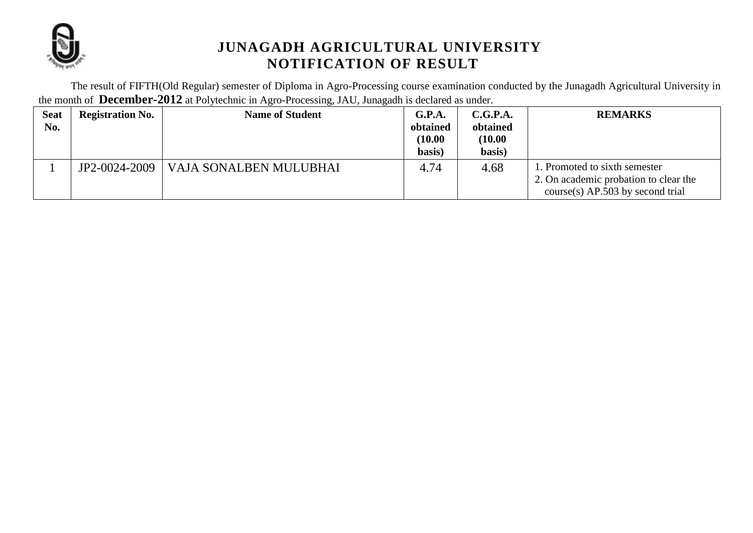

The result of FIFTH(Old Regular) semester of Diploma in Agro-Processing course examination conducted by the Junagadh Agricultural University in the month of **December-2012** at Polytechnic in Agro-Processing, JAU, Junagadh is declared as under.

| <b>Seat</b><br>No. | <b>Registration No.</b> | <b>Name of Student</b> | G.P.A.<br>obtained<br>(10.00)<br>basis) | C.G.P.A.<br>obtained<br>(10.00)<br>basis) | <b>REMARKS</b>                                                                                               |
|--------------------|-------------------------|------------------------|-----------------------------------------|-------------------------------------------|--------------------------------------------------------------------------------------------------------------|
|                    | JP2-0024-2009           | VAJA SONALBEN MULUBHAI | 4.74                                    | 4.68                                      | 1. Promoted to sixth semester<br>2. On academic probation to clear the<br>$course(s)$ AP.503 by second trial |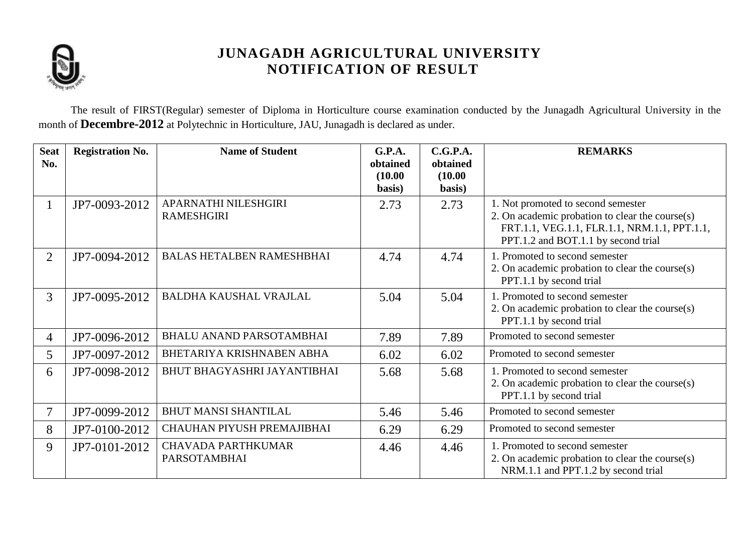

The result of FIRST(Regular) semester of Diploma in Horticulture course examination conducted by the Junagadh Agricultural University in the month of **Decembre-2012** at Polytechnic in Horticulture, JAU, Junagadh is declared as under.

| <b>Seat</b><br>No. | <b>Registration No.</b> | <b>Name of Student</b>                           | G.P.A.<br>obtained<br>(10.00)<br>basis) | C.G.P.A.<br>obtained<br>(10.00)<br>basis) | <b>REMARKS</b>                                                                                                                                                                  |
|--------------------|-------------------------|--------------------------------------------------|-----------------------------------------|-------------------------------------------|---------------------------------------------------------------------------------------------------------------------------------------------------------------------------------|
| 1                  | JP7-0093-2012           | APARNATHI NILESHGIRI<br><b>RAMESHGIRI</b>        | 2.73                                    | 2.73                                      | 1. Not promoted to second semester<br>2. On academic probation to clear the course $(s)$<br>FRT.1.1, VEG.1.1, FLR.1.1, NRM.1.1, PPT.1.1,<br>PPT.1.2 and BOT.1.1 by second trial |
| $\overline{2}$     | JP7-0094-2012           | <b>BALAS HETALBEN RAMESHBHAI</b>                 | 4.74                                    | 4.74                                      | 1. Promoted to second semester<br>2. On academic probation to clear the course(s)<br>PPT.1.1 by second trial                                                                    |
| 3                  | JP7-0095-2012           | <b>BALDHA KAUSHAL VRAJLAL</b>                    | 5.04                                    | 5.04                                      | 1. Promoted to second semester<br>2. On academic probation to clear the course(s)<br>PPT.1.1 by second trial                                                                    |
| $\overline{4}$     | JP7-0096-2012           | <b>BHALU ANAND PARSOTAMBHAI</b>                  | 7.89                                    | 7.89                                      | Promoted to second semester                                                                                                                                                     |
| 5                  | JP7-0097-2012           | BHETARIYA KRISHNABEN ABHA                        | 6.02                                    | 6.02                                      | Promoted to second semester                                                                                                                                                     |
| 6                  | JP7-0098-2012           | BHUT BHAGYASHRI JAYANTIBHAI                      | 5.68                                    | 5.68                                      | 1. Promoted to second semester<br>2. On academic probation to clear the course $(s)$<br>PPT.1.1 by second trial                                                                 |
| 7                  | JP7-0099-2012           | <b>BHUT MANSI SHANTILAL</b>                      | 5.46                                    | 5.46                                      | Promoted to second semester                                                                                                                                                     |
| 8                  | JP7-0100-2012           | CHAUHAN PIYUSH PREMAJIBHAI                       | 6.29                                    | 6.29                                      | Promoted to second semester                                                                                                                                                     |
| 9                  | JP7-0101-2012           | <b>CHAVADA PARTHKUMAR</b><br><b>PARSOTAMBHAI</b> | 4.46                                    | 4.46                                      | 1. Promoted to second semester<br>2. On academic probation to clear the course(s)<br>NRM.1.1 and PPT.1.2 by second trial                                                        |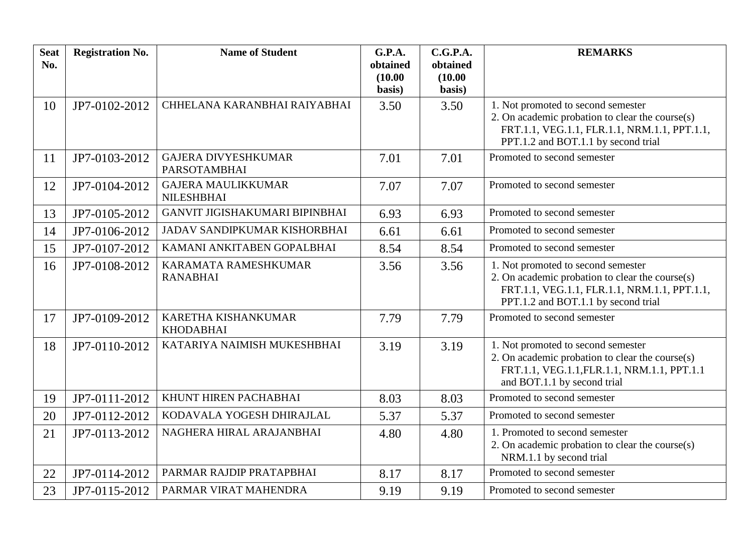| <b>Seat</b><br>No. | <b>Registration No.</b> | <b>Name of Student</b>                            | G.P.A.<br>obtained<br>(10.00) | C.G.P.A.<br>obtained<br>(10.00) | <b>REMARKS</b>                                                                                                                                                               |
|--------------------|-------------------------|---------------------------------------------------|-------------------------------|---------------------------------|------------------------------------------------------------------------------------------------------------------------------------------------------------------------------|
|                    |                         |                                                   | basis)                        | basis)                          |                                                                                                                                                                              |
| 10                 | JP7-0102-2012           | CHHELANA KARANBHAI RAIYABHAI                      | 3.50                          | 3.50                            | 1. Not promoted to second semester<br>2. On academic probation to clear the course(s)<br>FRT.1.1, VEG.1.1, FLR.1.1, NRM.1.1, PPT.1.1,<br>PPT.1.2 and BOT.1.1 by second trial |
| 11                 | JP7-0103-2012           | <b>GAJERA DIVYESHKUMAR</b><br><b>PARSOTAMBHAI</b> | 7.01                          | 7.01                            | Promoted to second semester                                                                                                                                                  |
| 12                 | JP7-0104-2012           | <b>GAJERA MAULIKKUMAR</b><br><b>NILESHBHAI</b>    | 7.07                          | 7.07                            | Promoted to second semester                                                                                                                                                  |
| 13                 | JP7-0105-2012           | GANVIT JIGISHAKUMARI BIPINBHAI                    | 6.93                          | 6.93                            | Promoted to second semester                                                                                                                                                  |
| 14                 | JP7-0106-2012           | JADAV SANDIPKUMAR KISHORBHAI                      | 6.61                          | 6.61                            | Promoted to second semester                                                                                                                                                  |
| 15                 | JP7-0107-2012           | KAMANI ANKITABEN GOPALBHAI                        | 8.54                          | 8.54                            | Promoted to second semester                                                                                                                                                  |
| 16                 | JP7-0108-2012           | KARAMATA RAMESHKUMAR<br><b>RANABHAI</b>           | 3.56                          | 3.56                            | 1. Not promoted to second semester<br>2. On academic probation to clear the course(s)<br>FRT.1.1, VEG.1.1, FLR.1.1, NRM.1.1, PPT.1.1,<br>PPT.1.2 and BOT.1.1 by second trial |
| 17                 | JP7-0109-2012           | KARETHA KISHANKUMAR<br><b>KHODABHAI</b>           | 7.79                          | 7.79                            | Promoted to second semester                                                                                                                                                  |
| 18                 | JP7-0110-2012           | KATARIYA NAIMISH MUKESHBHAI                       | 3.19                          | 3.19                            | 1. Not promoted to second semester<br>2. On academic probation to clear the course(s)<br>FRT.1.1, VEG.1.1, FLR.1.1, NRM.1.1, PPT.1.1<br>and BOT.1.1 by second trial          |
| 19                 | JP7-0111-2012           | KHUNT HIREN PACHABHAI                             | 8.03                          | 8.03                            | Promoted to second semester                                                                                                                                                  |
| 20                 | JP7-0112-2012           | KODAVALA YOGESH DHIRAJLAL                         | 5.37                          | 5.37                            | Promoted to second semester                                                                                                                                                  |
| 21                 | JP7-0113-2012           | NAGHERA HIRAL ARAJANBHAI                          | 4.80                          | 4.80                            | 1. Promoted to second semester<br>2. On academic probation to clear the course(s)<br>NRM.1.1 by second trial                                                                 |
| 22                 | JP7-0114-2012           | PARMAR RAJDIP PRATAPBHAI                          | 8.17                          | 8.17                            | Promoted to second semester                                                                                                                                                  |
| 23                 | JP7-0115-2012           | PARMAR VIRAT MAHENDRA                             | 9.19                          | 9.19                            | Promoted to second semester                                                                                                                                                  |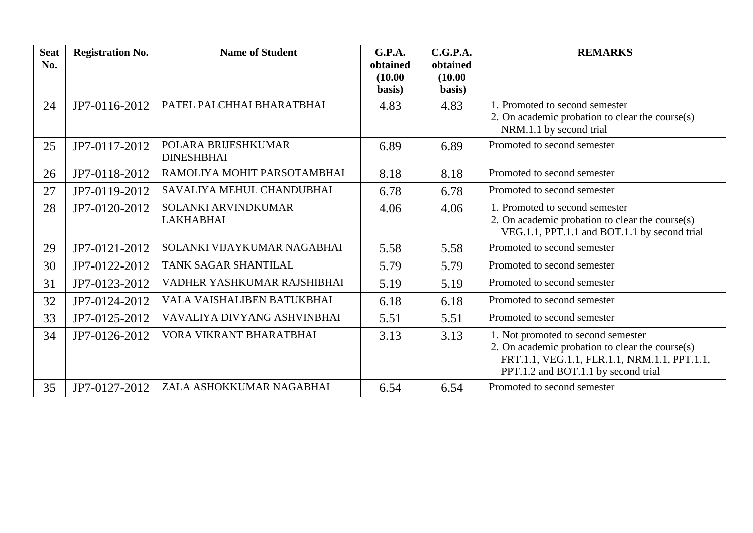| <b>Seat</b><br>No. | <b>Registration No.</b> | <b>Name of Student</b>                   | G.P.A.<br>obtained<br>(10.00)<br>basis) | C.G.P.A.<br>obtained<br>(10.00)<br>basis) | <b>REMARKS</b>                                                                                                                                                               |
|--------------------|-------------------------|------------------------------------------|-----------------------------------------|-------------------------------------------|------------------------------------------------------------------------------------------------------------------------------------------------------------------------------|
| 24                 | JP7-0116-2012           | PATEL PALCHHAI BHARATBHAI                | 4.83                                    | 4.83                                      | 1. Promoted to second semester<br>2. On academic probation to clear the course(s)<br>NRM.1.1 by second trial                                                                 |
| 25                 | JP7-0117-2012           | POLARA BRIJESHKUMAR<br><b>DINESHBHAI</b> | 6.89                                    | 6.89                                      | Promoted to second semester                                                                                                                                                  |
| 26                 | JP7-0118-2012           | RAMOLIYA MOHIT PARSOTAMBHAI              | 8.18                                    | 8.18                                      | Promoted to second semester                                                                                                                                                  |
| 27                 | JP7-0119-2012           | SAVALIYA MEHUL CHANDUBHAI                | 6.78                                    | 6.78                                      | Promoted to second semester                                                                                                                                                  |
| 28                 | JP7-0120-2012           | SOLANKI ARVINDKUMAR<br><b>LAKHABHAI</b>  | 4.06                                    | 4.06                                      | 1. Promoted to second semester<br>2. On academic probation to clear the course(s)<br>VEG.1.1, PPT.1.1 and BOT.1.1 by second trial                                            |
| 29                 | JP7-0121-2012           | SOLANKI VIJAYKUMAR NAGABHAI              | 5.58                                    | 5.58                                      | Promoted to second semester                                                                                                                                                  |
| 30                 | JP7-0122-2012           | TANK SAGAR SHANTILAL                     | 5.79                                    | 5.79                                      | Promoted to second semester                                                                                                                                                  |
| 31                 | JP7-0123-2012           | VADHER YASHKUMAR RAJSHIBHAI              | 5.19                                    | 5.19                                      | Promoted to second semester                                                                                                                                                  |
| 32                 | JP7-0124-2012           | VALA VAISHALIBEN BATUKBHAI               | 6.18                                    | 6.18                                      | Promoted to second semester                                                                                                                                                  |
| 33                 | JP7-0125-2012           | VAVALIYA DIVYANG ASHVINBHAI              | 5.51                                    | 5.51                                      | Promoted to second semester                                                                                                                                                  |
| 34                 | JP7-0126-2012           | VORA VIKRANT BHARATBHAI                  | 3.13                                    | 3.13                                      | 1. Not promoted to second semester<br>2. On academic probation to clear the course(s)<br>FRT.1.1, VEG.1.1, FLR.1.1, NRM.1.1, PPT.1.1,<br>PPT.1.2 and BOT.1.1 by second trial |
| 35                 | JP7-0127-2012           | ZALA ASHOKKUMAR NAGABHAI                 | 6.54                                    | 6.54                                      | Promoted to second semester                                                                                                                                                  |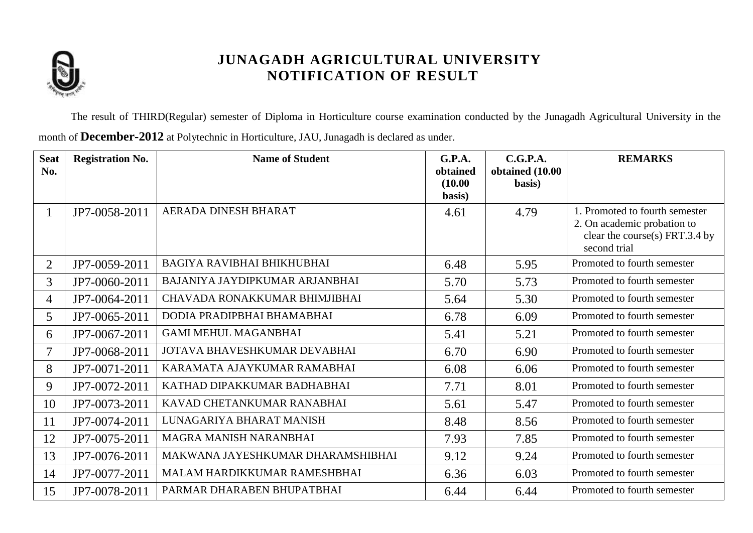

The result of THIRD(Regular) semester of Diploma in Horticulture course examination conducted by the Junagadh Agricultural University in the month of **December-2012** at Polytechnic in Horticulture, JAU, Junagadh is declared as under.

| <b>Seat</b><br>No. | <b>Registration No.</b> | <b>Name of Student</b>            | G.P.A.<br>obtained<br>(10.00) | C.G.P.A.<br>obtained (10.00<br>basis) | <b>REMARKS</b>                                                                                                  |
|--------------------|-------------------------|-----------------------------------|-------------------------------|---------------------------------------|-----------------------------------------------------------------------------------------------------------------|
|                    |                         |                                   | basis)                        |                                       |                                                                                                                 |
| 1                  | JP7-0058-2011           | AERADA DINESH BHARAT              | 4.61                          | 4.79                                  | 1. Promoted to fourth semester<br>2. On academic probation to<br>clear the course(s) FRT.3.4 by<br>second trial |
| $\overline{2}$     | JP7-0059-2011           | <b>BAGIYA RAVIBHAI BHIKHUBHAI</b> | 6.48                          | 5.95                                  | Promoted to fourth semester                                                                                     |
| $\overline{3}$     | JP7-0060-2011           | BAJANIYA JAYDIPKUMAR ARJANBHAI    | 5.70                          | 5.73                                  | Promoted to fourth semester                                                                                     |
| $\overline{4}$     | JP7-0064-2011           | CHAVADA RONAKKUMAR BHIMJIBHAI     | 5.64                          | 5.30                                  | Promoted to fourth semester                                                                                     |
| 5                  | JP7-0065-2011           | DODIA PRADIPBHAI BHAMABHAI        | 6.78                          | 6.09                                  | Promoted to fourth semester                                                                                     |
| 6                  | JP7-0067-2011           | <b>GAMI MEHUL MAGANBHAI</b>       | 5.41                          | 5.21                                  | Promoted to fourth semester                                                                                     |
| 7                  | JP7-0068-2011           | JOTAVA BHAVESHKUMAR DEVABHAI      | 6.70                          | 6.90                                  | Promoted to fourth semester                                                                                     |
| 8                  | JP7-0071-2011           | KARAMATA AJAYKUMAR RAMABHAI       | 6.08                          | 6.06                                  | Promoted to fourth semester                                                                                     |
| 9                  | JP7-0072-2011           | KATHAD DIPAKKUMAR BADHABHAI       | 7.71                          | 8.01                                  | Promoted to fourth semester                                                                                     |
| 10                 | JP7-0073-2011           | KAVAD CHETANKUMAR RANABHAI        | 5.61                          | 5.47                                  | Promoted to fourth semester                                                                                     |
| 11                 | JP7-0074-2011           | LUNAGARIYA BHARAT MANISH          | 8.48                          | 8.56                                  | Promoted to fourth semester                                                                                     |
| 12                 | JP7-0075-2011           | MAGRA MANISH NARANBHAI            | 7.93                          | 7.85                                  | Promoted to fourth semester                                                                                     |
| 13                 | JP7-0076-2011           | MAKWANA JAYESHKUMAR DHARAMSHIBHAI | 9.12                          | 9.24                                  | Promoted to fourth semester                                                                                     |
| 14                 | JP7-0077-2011           | MALAM HARDIKKUMAR RAMESHBHAI      | 6.36                          | 6.03                                  | Promoted to fourth semester                                                                                     |
| 15                 | JP7-0078-2011           | PARMAR DHARABEN BHUPATBHAI        | 6.44                          | 6.44                                  | Promoted to fourth semester                                                                                     |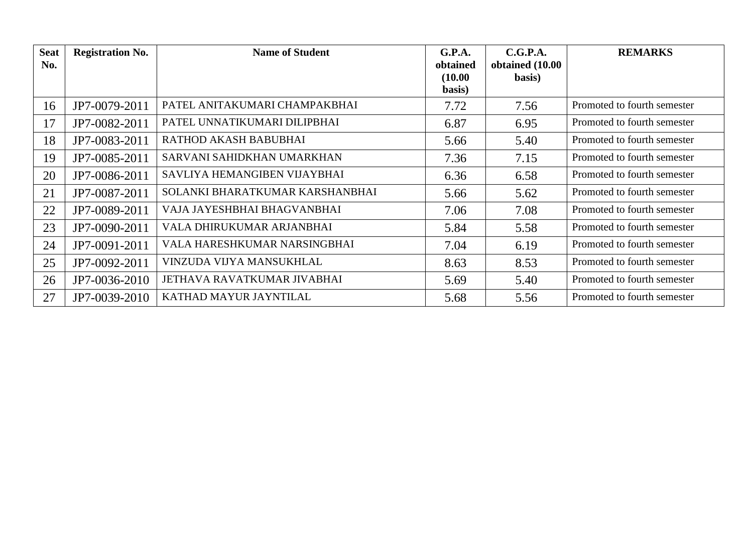| <b>Seat</b><br>No. | <b>Registration No.</b> | <b>Name of Student</b>          | G.P.A.<br>obtained | C.G.P.A.<br>obtained (10.00 | <b>REMARKS</b>              |
|--------------------|-------------------------|---------------------------------|--------------------|-----------------------------|-----------------------------|
|                    |                         |                                 | (10.00)<br>basis)  | basis)                      |                             |
| 16                 | JP7-0079-2011           | PATEL ANITAKUMARI CHAMPAKBHAI   | 7.72               | 7.56                        | Promoted to fourth semester |
| 17                 | JP7-0082-2011           | PATEL UNNATIKUMARI DILIPBHAI    | 6.87               | 6.95                        | Promoted to fourth semester |
| 18                 | JP7-0083-2011           | RATHOD AKASH BABUBHAI           | 5.66               | 5.40                        | Promoted to fourth semester |
| 19                 | JP7-0085-2011           | SARVANI SAHIDKHAN UMARKHAN      | 7.36               | 7.15                        | Promoted to fourth semester |
| 20                 | JP7-0086-2011           | SAVLIYA HEMANGIBEN VIJAYBHAI    | 6.36               | 6.58                        | Promoted to fourth semester |
| 21                 | JP7-0087-2011           | SOLANKI BHARATKUMAR KARSHANBHAI | 5.66               | 5.62                        | Promoted to fourth semester |
| 22                 | JP7-0089-2011           | VAJA JAYESHBHAI BHAGVANBHAI     | 7.06               | 7.08                        | Promoted to fourth semester |
| 23                 | JP7-0090-2011           | VALA DHIRUKUMAR ARJANBHAI       | 5.84               | 5.58                        | Promoted to fourth semester |
| 24                 | JP7-0091-2011           | VALA HARESHKUMAR NARSINGBHAI    | 7.04               | 6.19                        | Promoted to fourth semester |
| 25                 | JP7-0092-2011           | VINZUDA VIJYA MANSUKHLAL        | 8.63               | 8.53                        | Promoted to fourth semester |
| 26                 | JP7-0036-2010           | JETHAVA RAVATKUMAR JIVABHAI     | 5.69               | 5.40                        | Promoted to fourth semester |
| 27                 | JP7-0039-2010           | KATHAD MAYUR JAYNTILAL          | 5.68               | 5.56                        | Promoted to fourth semester |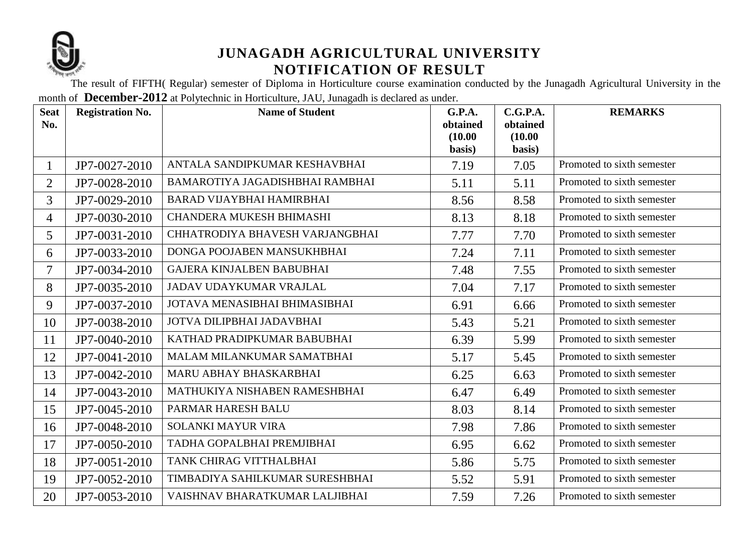

The result of FIFTH( Regular) semester of Diploma in Horticulture course examination conducted by the Junagadh Agricultural University in the month of **December-2012** at Polytechnic in Horticulture, JAU, Junagadh is declared as under.

| <b>Seat</b><br>No. | <b>Registration No.</b> | <b>Name of Student</b>           | <b>G.P.A.</b><br>obtained<br>(10.00)<br>basis) | C.G.P.A.<br>obtained<br>(10.00)<br>basis) | <b>REMARKS</b>             |
|--------------------|-------------------------|----------------------------------|------------------------------------------------|-------------------------------------------|----------------------------|
| $\mathbf{1}$       | JP7-0027-2010           | ANTALA SANDIPKUMAR KESHAVBHAI    | 7.19                                           | 7.05                                      | Promoted to sixth semester |
| $\overline{2}$     | JP7-0028-2010           | BAMAROTIYA JAGADISHBHAI RAMBHAI  | 5.11                                           | 5.11                                      | Promoted to sixth semester |
| $\overline{3}$     | JP7-0029-2010           | <b>BARAD VIJAYBHAI HAMIRBHAI</b> | 8.56                                           | 8.58                                      | Promoted to sixth semester |
| $\overline{4}$     | JP7-0030-2010           | CHANDERA MUKESH BHIMASHI         | 8.13                                           | 8.18                                      | Promoted to sixth semester |
| 5                  | JP7-0031-2010           | CHHATRODIYA BHAVESH VARJANGBHAI  | 7.77                                           | 7.70                                      | Promoted to sixth semester |
| 6                  | JP7-0033-2010           | DONGA POOJABEN MANSUKHBHAI       | 7.24                                           | 7.11                                      | Promoted to sixth semester |
| $\overline{7}$     | JP7-0034-2010           | <b>GAJERA KINJALBEN BABUBHAI</b> | 7.48                                           | 7.55                                      | Promoted to sixth semester |
| 8                  | JP7-0035-2010           | JADAV UDAYKUMAR VRAJLAL          | 7.04                                           | 7.17                                      | Promoted to sixth semester |
| 9                  | JP7-0037-2010           | JOTAVA MENASIBHAI BHIMASIBHAI    | 6.91                                           | 6.66                                      | Promoted to sixth semester |
| 10                 | JP7-0038-2010           | JOTVA DILIPBHAI JADAVBHAI        | 5.43                                           | 5.21                                      | Promoted to sixth semester |
| 11                 | JP7-0040-2010           | KATHAD PRADIPKUMAR BABUBHAI      | 6.39                                           | 5.99                                      | Promoted to sixth semester |
| 12                 | JP7-0041-2010           | MALAM MILANKUMAR SAMATBHAI       | 5.17                                           | 5.45                                      | Promoted to sixth semester |
| 13                 | JP7-0042-2010           | MARU ABHAY BHASKARBHAI           | 6.25                                           | 6.63                                      | Promoted to sixth semester |
| 14                 | JP7-0043-2010           | MATHUKIYA NISHABEN RAMESHBHAI    | 6.47                                           | 6.49                                      | Promoted to sixth semester |
| 15                 | JP7-0045-2010           | PARMAR HARESH BALU               | 8.03                                           | 8.14                                      | Promoted to sixth semester |
| 16                 | JP7-0048-2010           | SOLANKI MAYUR VIRA               | 7.98                                           | 7.86                                      | Promoted to sixth semester |
| 17                 | JP7-0050-2010           | TADHA GOPALBHAI PREMJIBHAI       | 6.95                                           | 6.62                                      | Promoted to sixth semester |
| 18                 | JP7-0051-2010           | TANK CHIRAG VITTHALBHAI          | 5.86                                           | 5.75                                      | Promoted to sixth semester |
| 19                 | JP7-0052-2010           | TIMBADIYA SAHILKUMAR SURESHBHAI  | 5.52                                           | 5.91                                      | Promoted to sixth semester |
| 20                 | JP7-0053-2010           | VAISHNAV BHARATKUMAR LALJIBHAI   | 7.59                                           | 7.26                                      | Promoted to sixth semester |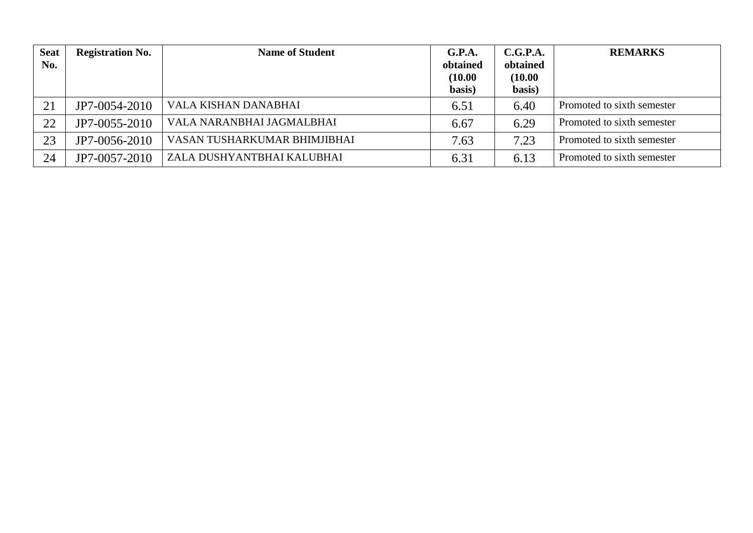| <b>Seat</b><br>No. | <b>Registration No.</b> | <b>Name of Student</b>       | G.P.A.<br>obtained<br>(10.00)<br>basis) | C.G.P.A.<br>obtained<br>(10.00)<br>basis) | <b>REMARKS</b>             |
|--------------------|-------------------------|------------------------------|-----------------------------------------|-------------------------------------------|----------------------------|
| 21                 | JP7-0054-2010           | VALA KISHAN DANABHAI         | 6.51                                    | 6.40                                      | Promoted to sixth semester |
| 22                 | JP7-0055-2010           | VALA NARANBHAI JAGMALBHAI    | 6.67                                    | 6.29                                      | Promoted to sixth semester |
| 23                 | JP7-0056-2010           | VASAN TUSHARKUMAR BHIMJIBHAI | 7.63                                    | 7.23                                      | Promoted to sixth semester |
| 24                 | JP7-0057-2010           | ZALA DUSHYANTBHAI KALUBHAI   | 6.31                                    | 6.13                                      | Promoted to sixth semester |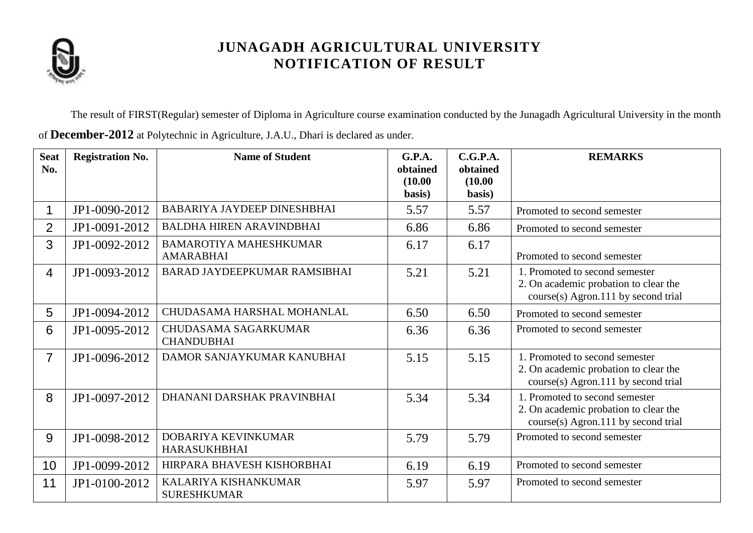

The result of FIRST(Regular) semester of Diploma in Agriculture course examination conducted by the Junagadh Agricultural University in the month

| of December-2012 at Polytechnic in Agriculture, J.A.U., Dhari is declared as under. |  |  |  |
|-------------------------------------------------------------------------------------|--|--|--|
|-------------------------------------------------------------------------------------|--|--|--|

| <b>Seat</b><br>No. | <b>Registration No.</b> | <b>Name of Student</b>                            | G.P.A.<br>obtained<br>(10.00) | C.G.P.A.<br>obtained<br>(10.00) | <b>REMARKS</b>                                                                                                 |
|--------------------|-------------------------|---------------------------------------------------|-------------------------------|---------------------------------|----------------------------------------------------------------------------------------------------------------|
|                    |                         |                                                   | basis)                        | basis)                          |                                                                                                                |
|                    | JP1-0090-2012           | BABARIYA JAYDEEP DINESHBHAI                       | 5.57                          | 5.57                            | Promoted to second semester                                                                                    |
| $\overline{2}$     | JP1-0091-2012           | <b>BALDHA HIREN ARAVINDBHAI</b>                   | 6.86                          | 6.86                            | Promoted to second semester                                                                                    |
| 3                  | JP1-0092-2012           | <b>BAMAROTIYA MAHESHKUMAR</b><br><b>AMARABHAI</b> | 6.17                          | 6.17                            | Promoted to second semester                                                                                    |
| $\overline{4}$     | JP1-0093-2012           | BARAD JAYDEEPKUMAR RAMSIBHAI                      | 5.21                          | 5.21                            | 1. Promoted to second semester<br>2. On academic probation to clear the<br>course(s) Agron.111 by second trial |
| 5                  | JP1-0094-2012           | CHUDASAMA HARSHAL MOHANLAL                        | 6.50                          | 6.50                            | Promoted to second semester                                                                                    |
| 6                  | JP1-0095-2012           | <b>CHUDASAMA SAGARKUMAR</b><br><b>CHANDUBHAI</b>  | 6.36                          | 6.36                            | Promoted to second semester                                                                                    |
| $\overline{7}$     | JP1-0096-2012           | DAMOR SANJAYKUMAR KANUBHAI                        | 5.15                          | 5.15                            | 1. Promoted to second semester<br>2. On academic probation to clear the<br>course(s) Agron.111 by second trial |
| 8                  | JP1-0097-2012           | DHANANI DARSHAK PRAVINBHAI                        | 5.34                          | 5.34                            | 1. Promoted to second semester<br>2. On academic probation to clear the<br>course(s) Agron.111 by second trial |
| 9                  | JP1-0098-2012           | DOBARIYA KEVINKUMAR<br><b>HARASUKHBHAI</b>        | 5.79                          | 5.79                            | Promoted to second semester                                                                                    |
| 10                 | JP1-0099-2012           | HIRPARA BHAVESH KISHORBHAI                        | 6.19                          | 6.19                            | Promoted to second semester                                                                                    |
| 11                 | JP1-0100-2012           | KALARIYA KISHANKUMAR<br><b>SURESHKUMAR</b>        | 5.97                          | 5.97                            | Promoted to second semester                                                                                    |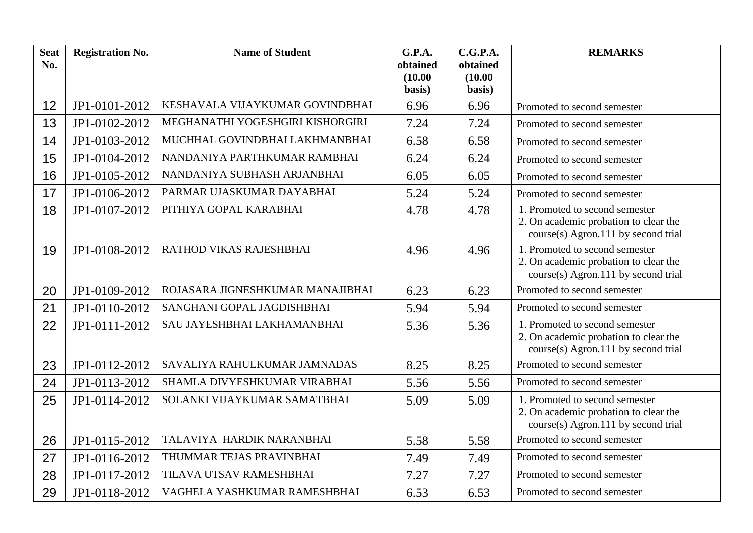| <b>Seat</b><br>No. | <b>Registration No.</b> | <b>Name of Student</b>           | G.P.A.<br>obtained | C.G.P.A.<br>obtained | <b>REMARKS</b>                                                                                                 |
|--------------------|-------------------------|----------------------------------|--------------------|----------------------|----------------------------------------------------------------------------------------------------------------|
|                    |                         |                                  | (10.00)<br>basis)  | (10.00)<br>basis)    |                                                                                                                |
| 12                 | JP1-0101-2012           | KESHAVALA VIJAYKUMAR GOVINDBHAI  | 6.96               | 6.96                 | Promoted to second semester                                                                                    |
| 13                 | JP1-0102-2012           | MEGHANATHI YOGESHGIRI KISHORGIRI | 7.24               | 7.24                 | Promoted to second semester                                                                                    |
| 14                 | JP1-0103-2012           | MUCHHAL GOVINDBHAI LAKHMANBHAI   | 6.58               | 6.58                 | Promoted to second semester                                                                                    |
| 15                 | JP1-0104-2012           | NANDANIYA PARTHKUMAR RAMBHAI     | 6.24               | 6.24                 | Promoted to second semester                                                                                    |
| 16                 | JP1-0105-2012           | NANDANIYA SUBHASH ARJANBHAI      | 6.05               | 6.05                 | Promoted to second semester                                                                                    |
| 17                 | JP1-0106-2012           | PARMAR UJASKUMAR DAYABHAI        | 5.24               | 5.24                 | Promoted to second semester                                                                                    |
| 18                 | JP1-0107-2012           | PITHIYA GOPAL KARABHAI           | 4.78               | 4.78                 | 1. Promoted to second semester<br>2. On academic probation to clear the<br>course(s) Agron.111 by second trial |
| 19                 | JP1-0108-2012           | RATHOD VIKAS RAJESHBHAI          | 4.96               | 4.96                 | 1. Promoted to second semester<br>2. On academic probation to clear the<br>course(s) Agron.111 by second trial |
| 20                 | JP1-0109-2012           | ROJASARA JIGNESHKUMAR MANAJIBHAI | 6.23               | 6.23                 | Promoted to second semester                                                                                    |
| 21                 | JP1-0110-2012           | SANGHANI GOPAL JAGDISHBHAI       | 5.94               | 5.94                 | Promoted to second semester                                                                                    |
| 22                 | JP1-0111-2012           | SAU JAYESHBHAI LAKHAMANBHAI      | 5.36               | 5.36                 | 1. Promoted to second semester<br>2. On academic probation to clear the<br>course(s) Agron.111 by second trial |
| 23                 | JP1-0112-2012           | SAVALIYA RAHULKUMAR JAMNADAS     | 8.25               | 8.25                 | Promoted to second semester                                                                                    |
| 24                 | JP1-0113-2012           | SHAMLA DIVYESHKUMAR VIRABHAI     | 5.56               | 5.56                 | Promoted to second semester                                                                                    |
| 25                 | JP1-0114-2012           | SOLANKI VIJAYKUMAR SAMATBHAI     | 5.09               | 5.09                 | 1. Promoted to second semester<br>2. On academic probation to clear the<br>course(s) Agron.111 by second trial |
| 26                 | JP1-0115-2012           | TALAVIYA HARDIK NARANBHAI        | 5.58               | 5.58                 | Promoted to second semester                                                                                    |
| 27                 | JP1-0116-2012           | THUMMAR TEJAS PRAVINBHAI         | 7.49               | 7.49                 | Promoted to second semester                                                                                    |
| 28                 | JP1-0117-2012           | TILAVA UTSAV RAMESHBHAI          | 7.27               | 7.27                 | Promoted to second semester                                                                                    |
| 29                 | JP1-0118-2012           | VAGHELA YASHKUMAR RAMESHBHAI     | 6.53               | 6.53                 | Promoted to second semester                                                                                    |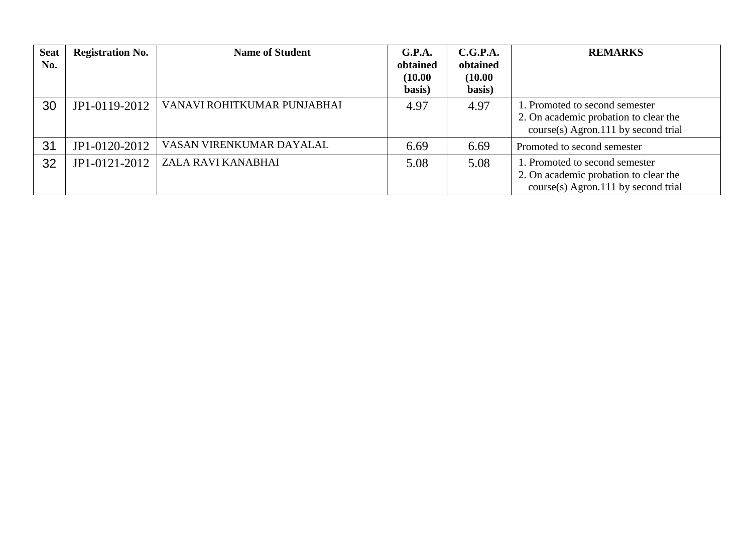| <b>Seat</b><br>No. | <b>Registration No.</b> | <b>Name of Student</b>      | G.P.A.<br>obtained<br>(10.00)<br>basis) | C.G.P.A.<br>obtained<br>(10.00)<br>basis) | <b>REMARKS</b>                                                                                                   |
|--------------------|-------------------------|-----------------------------|-----------------------------------------|-------------------------------------------|------------------------------------------------------------------------------------------------------------------|
| 30                 | JP1-0119-2012           | VANAVI ROHITKUMAR PUNJABHAI | 4.97                                    | 4.97                                      | 1. Promoted to second semester<br>2. On academic probation to clear the<br>$course(s)$ Agron.111 by second trial |
| 31                 | JP1-0120-2012           | VASAN VIRENKUMAR DAYALAL    | 6.69                                    | 6.69                                      | Promoted to second semester                                                                                      |
| 32                 | JP1-0121-2012           | ZALA RAVI KANABHAI          | 5.08                                    | 5.08                                      | 1. Promoted to second semester<br>2. On academic probation to clear the<br>$course(s)$ Agron.111 by second trial |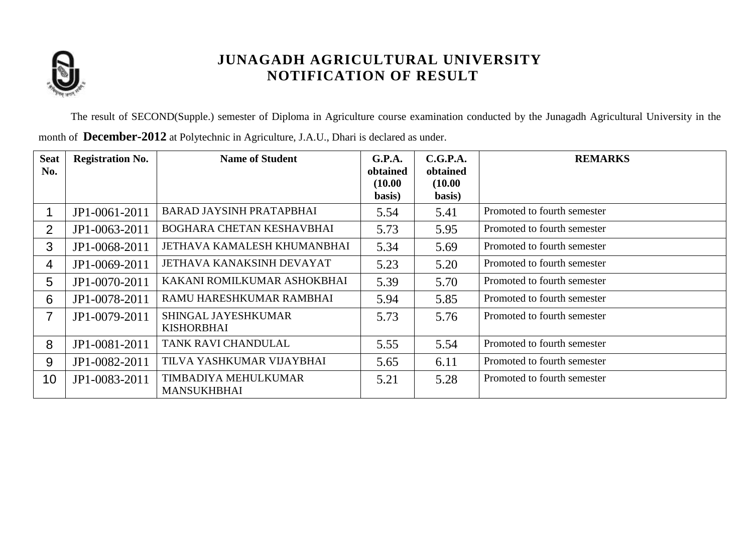

The result of SECOND(Supple.) semester of Diploma in Agriculture course examination conducted by the Junagadh Agricultural University in the month of **December-2012** at Polytechnic in Agriculture, J.A.U., Dhari is declared as under.

| <b>Seat</b><br>No. | <b>Registration No.</b> | <b>Name of Student</b>                     | G.P.A.<br>obtained<br>(10.00)<br>basis) | C.G.P.A.<br>obtained<br>(10.00)<br>basis) | <b>REMARKS</b>              |
|--------------------|-------------------------|--------------------------------------------|-----------------------------------------|-------------------------------------------|-----------------------------|
|                    | JP1-0061-2011           | <b>BARAD JAYSINH PRATAPBHAI</b>            | 5.54                                    | 5.41                                      | Promoted to fourth semester |
| $\overline{2}$     | JP1-0063-2011           | BOGHARA CHETAN KESHAVBHAI                  | 5.73                                    | 5.95                                      | Promoted to fourth semester |
| 3                  | JP1-0068-2011           | JETHAVA KAMALESH KHUMANBHAI                | 5.34                                    | 5.69                                      | Promoted to fourth semester |
| 4                  | JP1-0069-2011           | JETHAVA KANAKSINH DEVAYAT                  | 5.23                                    | 5.20                                      | Promoted to fourth semester |
| 5                  | JP1-0070-2011           | KAKANI ROMILKUMAR ASHOKBHAI                | 5.39                                    | 5.70                                      | Promoted to fourth semester |
| 6                  | JP1-0078-2011           | RAMU HARESHKUMAR RAMBHAI                   | 5.94                                    | 5.85                                      | Promoted to fourth semester |
| $\overline{7}$     | JP1-0079-2011           | SHINGAL JAYESHKUMAR<br><b>KISHORBHAI</b>   | 5.73                                    | 5.76                                      | Promoted to fourth semester |
| 8                  | JP1-0081-2011           | TANK RAVI CHANDULAL                        | 5.55                                    | 5.54                                      | Promoted to fourth semester |
| 9                  | JP1-0082-2011           | TILVA YASHKUMAR VIJAYBHAI                  | 5.65                                    | 6.11                                      | Promoted to fourth semester |
| 10 <sup>°</sup>    | JP1-0083-2011           | TIMBADIYA MEHULKUMAR<br><b>MANSUKHBHAI</b> | 5.21                                    | 5.28                                      | Promoted to fourth semester |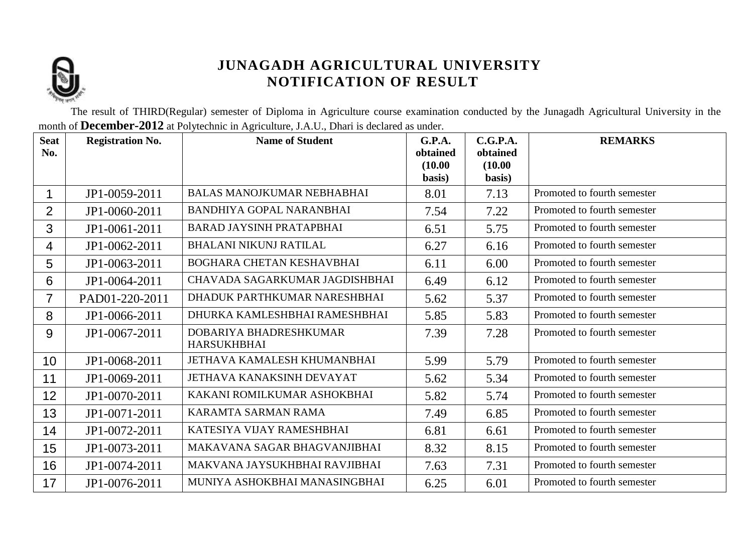

The result of THIRD(Regular) semester of Diploma in Agriculture course examination conducted by the Junagadh Agricultural University in the month of **December-2012** at Polytechnic in Agriculture, J.A.U., Dhari is declared as under.

| <b>Seat</b><br>No. | <b>Registration No.</b> | <b>Name of Student</b>                       | <b>G.P.A.</b><br>obtained<br>(10.00)<br>basis) | C.G.P.A.<br>obtained<br>(10.00)<br>basis) | <b>REMARKS</b>              |
|--------------------|-------------------------|----------------------------------------------|------------------------------------------------|-------------------------------------------|-----------------------------|
| 1                  | JP1-0059-2011           | <b>BALAS MANOJKUMAR NEBHABHAI</b>            | 8.01                                           | 7.13                                      | Promoted to fourth semester |
| $\overline{2}$     | JP1-0060-2011           | <b>BANDHIYA GOPAL NARANBHAI</b>              | 7.54                                           | 7.22                                      | Promoted to fourth semester |
| 3                  | JP1-0061-2011           | <b>BARAD JAYSINH PRATAPBHAI</b>              | 6.51                                           | 5.75                                      | Promoted to fourth semester |
| 4                  | JP1-0062-2011           | <b>BHALANI NIKUNJ RATILAL</b>                | 6.27                                           | 6.16                                      | Promoted to fourth semester |
| 5                  | JP1-0063-2011           | BOGHARA CHETAN KESHAVBHAI                    | 6.11                                           | 6.00                                      | Promoted to fourth semester |
| 6                  | JP1-0064-2011           | CHAVADA SAGARKUMAR JAGDISHBHAI               | 6.49                                           | 6.12                                      | Promoted to fourth semester |
| $\overline{7}$     | PAD01-220-2011          | DHADUK PARTHKUMAR NARESHBHAI                 | 5.62                                           | 5.37                                      | Promoted to fourth semester |
| 8                  | JP1-0066-2011           | DHURKA KAMLESHBHAI RAMESHBHAI                | 5.85                                           | 5.83                                      | Promoted to fourth semester |
| 9                  | JP1-0067-2011           | DOBARIYA BHADRESHKUMAR<br><b>HARSUKHBHAI</b> | 7.39                                           | 7.28                                      | Promoted to fourth semester |
| 10 <sup>°</sup>    | JP1-0068-2011           | JETHAVA KAMALESH KHUMANBHAI                  | 5.99                                           | 5.79                                      | Promoted to fourth semester |
| 11                 | JP1-0069-2011           | JETHAVA KANAKSINH DEVAYAT                    | 5.62                                           | 5.34                                      | Promoted to fourth semester |
| 12                 | JP1-0070-2011           | KAKANI ROMILKUMAR ASHOKBHAI                  | 5.82                                           | 5.74                                      | Promoted to fourth semester |
| 13                 | JP1-0071-2011           | KARAMTA SARMAN RAMA                          | 7.49                                           | 6.85                                      | Promoted to fourth semester |
| 14                 | JP1-0072-2011           | KATESIYA VIJAY RAMESHBHAI                    | 6.81                                           | 6.61                                      | Promoted to fourth semester |
| 15                 | JP1-0073-2011           | MAKAVANA SAGAR BHAGVANJIBHAI                 | 8.32                                           | 8.15                                      | Promoted to fourth semester |
| 16                 | JP1-0074-2011           | MAKVANA JAYSUKHBHAI RAVJIBHAI                | 7.63                                           | 7.31                                      | Promoted to fourth semester |
| 17                 | JP1-0076-2011           | MUNIYA ASHOKBHAI MANASINGBHAI                | 6.25                                           | 6.01                                      | Promoted to fourth semester |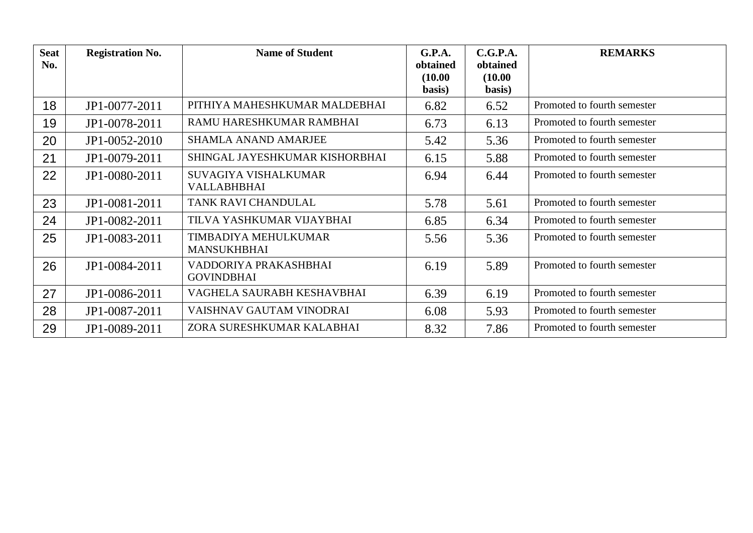| <b>Seat</b><br>No. | <b>Registration No.</b> | <b>Name of Student</b>                            | G.P.A.<br>obtained<br>(10.00)<br>basis) | C.G.P.A.<br>obtained<br>(10.00)<br>basis) | <b>REMARKS</b>              |
|--------------------|-------------------------|---------------------------------------------------|-----------------------------------------|-------------------------------------------|-----------------------------|
| 18                 | JP1-0077-2011           | PITHIYA MAHESHKUMAR MALDEBHAI                     | 6.82                                    | 6.52                                      | Promoted to fourth semester |
| 19                 | JP1-0078-2011           | RAMU HARESHKUMAR RAMBHAI                          | 6.73                                    | 6.13                                      | Promoted to fourth semester |
| 20                 | JP1-0052-2010           | <b>SHAMLA ANAND AMARJEE</b>                       | 5.42                                    | 5.36                                      | Promoted to fourth semester |
| 21                 | JP1-0079-2011           | SHINGAL JAYESHKUMAR KISHORBHAI                    | 6.15                                    | 5.88                                      | Promoted to fourth semester |
| 22                 | JP1-0080-2011           | <b>SUVAGIYA VISHALKUMAR</b><br><b>VALLABHBHAI</b> | 6.94                                    | 6.44                                      | Promoted to fourth semester |
| 23                 | JP1-0081-2011           | TANK RAVI CHANDULAL                               | 5.78                                    | 5.61                                      | Promoted to fourth semester |
| 24                 | JP1-0082-2011           | TILVA YASHKUMAR VIJAYBHAI                         | 6.85                                    | 6.34                                      | Promoted to fourth semester |
| 25                 | JP1-0083-2011           | TIMBADIYA MEHULKUMAR<br><b>MANSUKHBHAI</b>        | 5.56                                    | 5.36                                      | Promoted to fourth semester |
| 26                 | JP1-0084-2011           | VADDORIYA PRAKASHBHAI<br><b>GOVINDBHAI</b>        | 6.19                                    | 5.89                                      | Promoted to fourth semester |
| 27                 | JP1-0086-2011           | VAGHELA SAURABH KESHAVBHAI                        | 6.39                                    | 6.19                                      | Promoted to fourth semester |
| 28                 | JP1-0087-2011           | VAISHNAV GAUTAM VINODRAI                          | 6.08                                    | 5.93                                      | Promoted to fourth semester |
| 29                 | JP1-0089-2011           | ZORA SURESHKUMAR KALABHAI                         | 8.32                                    | 7.86                                      | Promoted to fourth semester |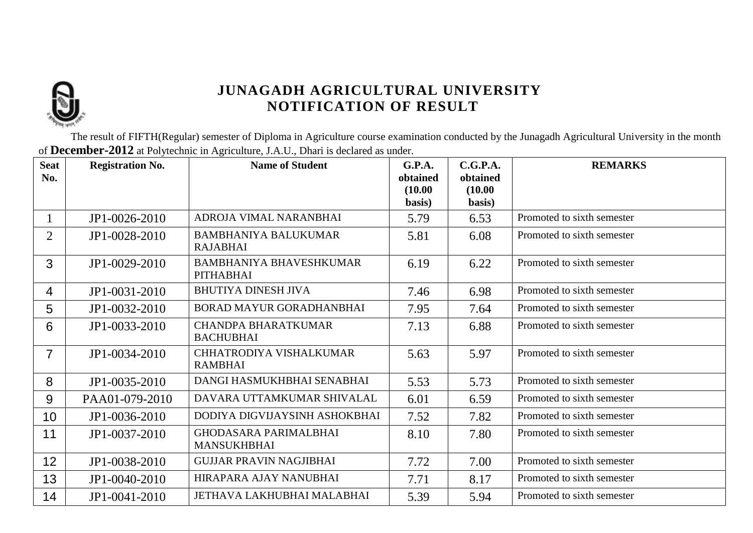

The result of FIFTH(Regular) semester of Diploma in Agriculture course examination conducted by the Junagadh Agricultural University in the month of **December-2012** at Polytechnic in Agriculture, J.A.U., Dhari is declared as under.

| <b>Seat</b><br>No. | <b>Registration No.</b> | <b>Name of Student</b>                             | G.P.A.<br>obtained | C.G.P.A.<br>obtained | <b>REMARKS</b>             |
|--------------------|-------------------------|----------------------------------------------------|--------------------|----------------------|----------------------------|
|                    |                         |                                                    | (10.00)<br>basis)  | (10.00)<br>basis)    |                            |
|                    | JP1-0026-2010           | ADROJA VIMAL NARANBHAI                             | 5.79               | 6.53                 | Promoted to sixth semester |
| $\overline{2}$     | JP1-0028-2010           | <b>BAMBHANIYA BALUKUMAR</b><br><b>RAJABHAI</b>     | 5.81               | 6.08                 | Promoted to sixth semester |
| 3                  | JP1-0029-2010           | <b>BAMBHANIYA BHAVESHKUMAR</b><br><b>PITHABHAI</b> | 6.19               | 6.22                 | Promoted to sixth semester |
| $\overline{4}$     | JP1-0031-2010           | <b>BHUTIYA DINESH JIVA</b>                         | 7.46               | 6.98                 | Promoted to sixth semester |
| 5                  | JP1-0032-2010           | <b>BORAD MAYUR GORADHANBHAI</b>                    | 7.95               | 7.64                 | Promoted to sixth semester |
| 6                  | JP1-0033-2010           | <b>CHANDPA BHARATKUMAR</b><br><b>BACHUBHAI</b>     | 7.13               | 6.88                 | Promoted to sixth semester |
| $\overline{7}$     | JP1-0034-2010           | CHHATRODIYA VISHALKUMAR<br><b>RAMBHAI</b>          | 5.63               | 5.97                 | Promoted to sixth semester |
| 8                  | JP1-0035-2010           | DANGI HASMUKHBHAI SENABHAI                         | 5.53               | 5.73                 | Promoted to sixth semester |
| 9                  | PAA01-079-2010          | DAVARA UTTAMKUMAR SHIVALAL                         | 6.01               | 6.59                 | Promoted to sixth semester |
| 10                 | JP1-0036-2010           | DODIYA DIGVIJAYSINH ASHOKBHAI                      | 7.52               | 7.82                 | Promoted to sixth semester |
| 11                 | JP1-0037-2010           | <b>GHODASARA PARIMALBHAI</b><br><b>MANSUKHBHAI</b> | 8.10               | 7.80                 | Promoted to sixth semester |
| 12                 | JP1-0038-2010           | <b>GUJJAR PRAVIN NAGJIBHAI</b>                     | 7.72               | 7.00                 | Promoted to sixth semester |
| 13                 | JP1-0040-2010           | HIRAPARA AJAY NANUBHAI                             | 7.71               | 8.17                 | Promoted to sixth semester |
| 14                 | JP1-0041-2010           | JETHAVA LAKHUBHAI MALABHAI                         | 5.39               | 5.94                 | Promoted to sixth semester |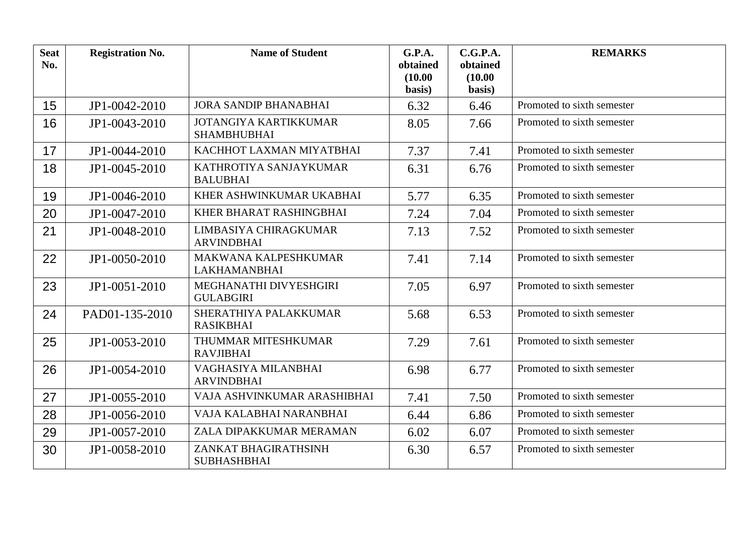| <b>Seat</b><br>No. | <b>Registration No.</b> | <b>Name of Student</b>                             | G.P.A.<br>obtained<br>(10.00)<br>basis) | C.G.P.A.<br>obtained<br>(10.00)<br>basis) | <b>REMARKS</b>             |
|--------------------|-------------------------|----------------------------------------------------|-----------------------------------------|-------------------------------------------|----------------------------|
| 15                 | JP1-0042-2010           | <b>JORA SANDIP BHANABHAI</b>                       | 6.32                                    | 6.46                                      | Promoted to sixth semester |
| 16                 | JP1-0043-2010           | <b>JOTANGIYA KARTIKKUMAR</b><br><b>SHAMBHUBHAI</b> | 8.05                                    | 7.66                                      | Promoted to sixth semester |
| 17                 | JP1-0044-2010           | KACHHOT LAXMAN MIYATBHAI                           | 7.37                                    | 7.41                                      | Promoted to sixth semester |
| 18                 | JP1-0045-2010           | KATHROTIYA SANJAYKUMAR<br><b>BALUBHAI</b>          | 6.31                                    | 6.76                                      | Promoted to sixth semester |
| 19                 | JP1-0046-2010           | KHER ASHWINKUMAR UKABHAI                           | 5.77                                    | 6.35                                      | Promoted to sixth semester |
| 20                 | JP1-0047-2010           | KHER BHARAT RASHINGBHAI                            | 7.24                                    | 7.04                                      | Promoted to sixth semester |
| 21                 | JP1-0048-2010           | LIMBASIYA CHIRAGKUMAR<br><b>ARVINDBHAI</b>         | 7.13                                    | 7.52                                      | Promoted to sixth semester |
| 22                 | JP1-0050-2010           | MAKWANA KALPESHKUMAR<br><b>LAKHAMANBHAI</b>        | 7.41                                    | 7.14                                      | Promoted to sixth semester |
| 23                 | JP1-0051-2010           | MEGHANATHI DIVYESHGIRI<br><b>GULABGIRI</b>         | 7.05                                    | 6.97                                      | Promoted to sixth semester |
| 24                 | PAD01-135-2010          | SHERATHIYA PALAKKUMAR<br><b>RASIKBHAI</b>          | 5.68                                    | 6.53                                      | Promoted to sixth semester |
| 25                 | JP1-0053-2010           | THUMMAR MITESHKUMAR<br><b>RAVJIBHAI</b>            | 7.29                                    | 7.61                                      | Promoted to sixth semester |
| 26                 | JP1-0054-2010           | VAGHASIYA MILANBHAI<br><b>ARVINDBHAI</b>           | 6.98                                    | 6.77                                      | Promoted to sixth semester |
| 27                 | JP1-0055-2010           | VAJA ASHVINKUMAR ARASHIBHAI                        | 7.41                                    | 7.50                                      | Promoted to sixth semester |
| 28                 | JP1-0056-2010           | VAJA KALABHAI NARANBHAI                            | 6.44                                    | 6.86                                      | Promoted to sixth semester |
| 29                 | JP1-0057-2010           | ZALA DIPAKKUMAR MERAMAN                            | 6.02                                    | 6.07                                      | Promoted to sixth semester |
| 30                 | JP1-0058-2010           | ZANKAT BHAGIRATHSINH<br><b>SUBHASHBHAI</b>         | 6.30                                    | 6.57                                      | Promoted to sixth semester |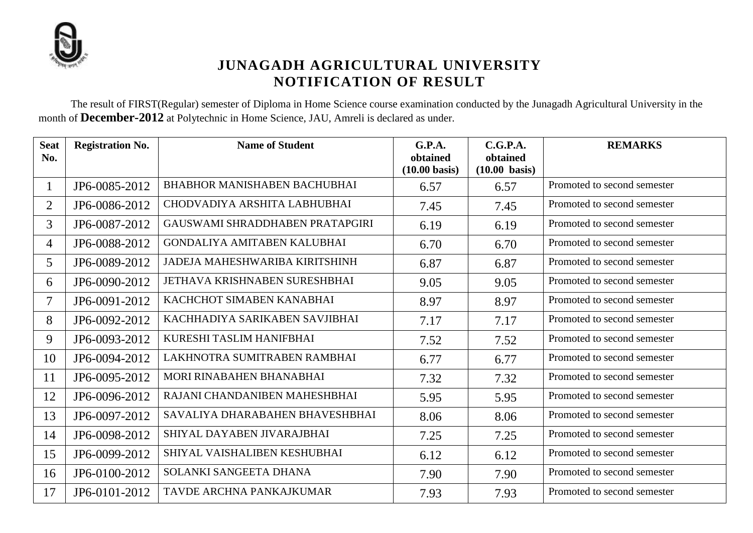

The result of FIRST(Regular) semester of Diploma in Home Science course examination conducted by the Junagadh Agricultural University in the month of **December-2012** at Polytechnic in Home Science, JAU, Amreli is declared as under.

| <b>Seat</b><br>No.       | <b>Registration No.</b> | <b>Name of Student</b>              | G.P.A.<br>obtained<br>$(10.00 \text{ basis})$ | C.G.P.A.<br>obtained<br>$(10.00 \text{ basis})$ | <b>REMARKS</b>              |
|--------------------------|-------------------------|-------------------------------------|-----------------------------------------------|-------------------------------------------------|-----------------------------|
| $\mathbf{1}$             | JP6-0085-2012           | <b>BHABHOR MANISHABEN BACHUBHAI</b> | 6.57                                          | 6.57                                            | Promoted to second semester |
| $\overline{2}$           | JP6-0086-2012           | CHODVADIYA ARSHITA LABHUBHAI        | 7.45                                          | 7.45                                            | Promoted to second semester |
| 3                        | JP6-0087-2012           | GAUSWAMI SHRADDHABEN PRATAPGIRI     | 6.19                                          | 6.19                                            | Promoted to second semester |
| 4                        | JP6-0088-2012           | <b>GONDALIYA AMITABEN KALUBHAI</b>  | 6.70                                          | 6.70                                            | Promoted to second semester |
| 5                        | JP6-0089-2012           | JADEJA MAHESHWARIBA KIRITSHINH      | 6.87                                          | 6.87                                            | Promoted to second semester |
| 6                        | JP6-0090-2012           | JETHAVA KRISHNABEN SURESHBHAI       | 9.05                                          | 9.05                                            | Promoted to second semester |
| $\overline{\mathcal{I}}$ | JP6-0091-2012           | KACHCHOT SIMABEN KANABHAI           | 8.97                                          | 8.97                                            | Promoted to second semester |
| 8                        | JP6-0092-2012           | KACHHADIYA SARIKABEN SAVJIBHAI      | 7.17                                          | 7.17                                            | Promoted to second semester |
| 9                        | JP6-0093-2012           | KURESHI TASLIM HANIFBHAI            | 7.52                                          | 7.52                                            | Promoted to second semester |
| 10                       | JP6-0094-2012           | LAKHNOTRA SUMITRABEN RAMBHAI        | 6.77                                          | 6.77                                            | Promoted to second semester |
| 11                       | JP6-0095-2012           | MORI RINABAHEN BHANABHAI            | 7.32                                          | 7.32                                            | Promoted to second semester |
| 12                       | JP6-0096-2012           | RAJANI CHANDANIBEN MAHESHBHAI       | 5.95                                          | 5.95                                            | Promoted to second semester |
| 13                       | JP6-0097-2012           | SAVALIYA DHARABAHEN BHAVESHBHAI     | 8.06                                          | 8.06                                            | Promoted to second semester |
| 14                       | JP6-0098-2012           | SHIYAL DAYABEN JIVARAJBHAI          | 7.25                                          | 7.25                                            | Promoted to second semester |
| 15                       | JP6-0099-2012           | SHIYAL VAISHALIBEN KESHUBHAI        | 6.12                                          | 6.12                                            | Promoted to second semester |
| 16                       | JP6-0100-2012           | SOLANKI SANGEETA DHANA              | 7.90                                          | 7.90                                            | Promoted to second semester |
| 17                       | JP6-0101-2012           | TAVDE ARCHNA PANKAJKUMAR            | 7.93                                          | 7.93                                            | Promoted to second semester |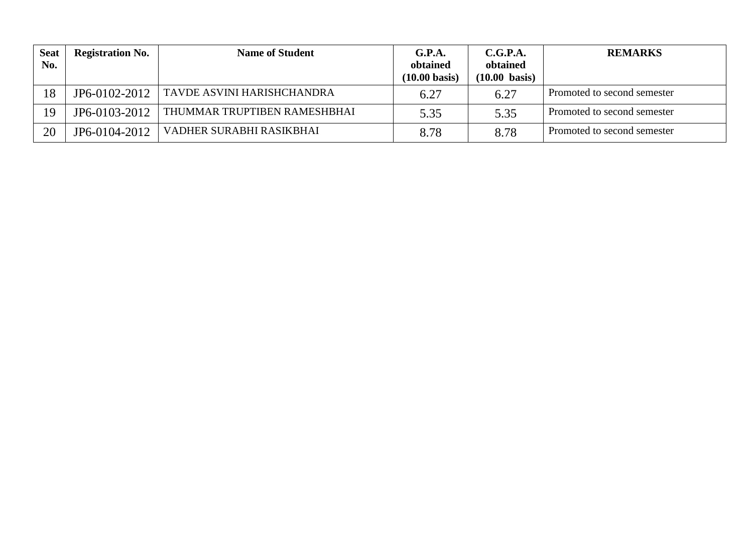| <b>Seat</b><br>No. | <b>Registration No.</b> | <b>Name of Student</b>       | G.P.A.<br>obtained<br>$(10.00 \text{ basis})$ | C.G.P.A.<br>obtained<br>$(10.00 \text{ basis})$ | <b>REMARKS</b>              |
|--------------------|-------------------------|------------------------------|-----------------------------------------------|-------------------------------------------------|-----------------------------|
| 18                 | JP6-0102-2012           | TAVDE ASVINI HARISHCHANDRA   | 6.27                                          | 6.27                                            | Promoted to second semester |
| 19                 | JP6-0103-2012           | THUMMAR TRUPTIBEN RAMESHBHAI | 5.35                                          | 5.35                                            | Promoted to second semester |
| 20                 | JP6-0104-2012           | VADHER SURABHI RASIKBHAI     | 8.78                                          | 8.78                                            | Promoted to second semester |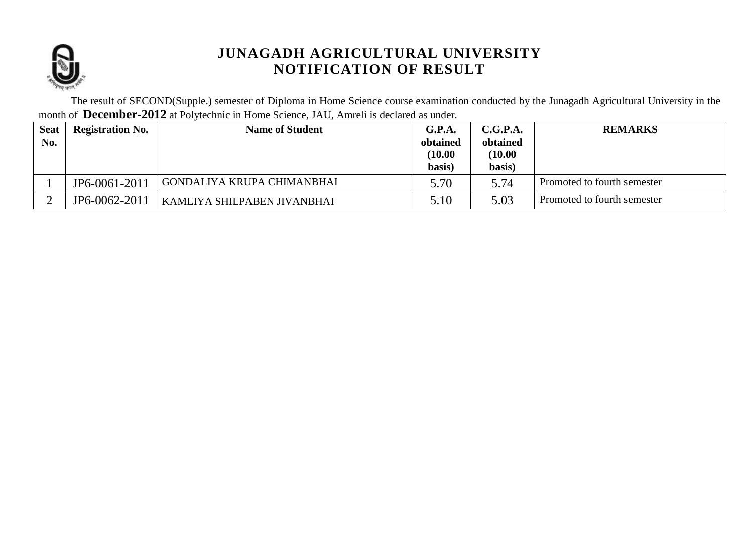

The result of SECOND(Supple.) semester of Diploma in Home Science course examination conducted by the Junagadh Agricultural University in the month of **December-2012** at Polytechnic in Home Science, JAU, Amreli is declared as under.

| <b>Seat</b><br>No. | <b>Registration No.</b> | <b>Name of Student</b>      | G.P.A.<br>obtained<br>(10.00)<br>basis) | C.G.P.A.<br>obtained<br>(10.00)<br>basis) | <b>REMARKS</b>              |
|--------------------|-------------------------|-----------------------------|-----------------------------------------|-------------------------------------------|-----------------------------|
|                    | JP6-0061-2011           | GONDALIYA KRUPA CHIMANBHAI  | 5.70                                    | 5.74                                      | Promoted to fourth semester |
|                    | JP6-0062-2011           | KAMLIYA SHILPABEN JIVANBHAI | 5.10                                    | 5.03                                      | Promoted to fourth semester |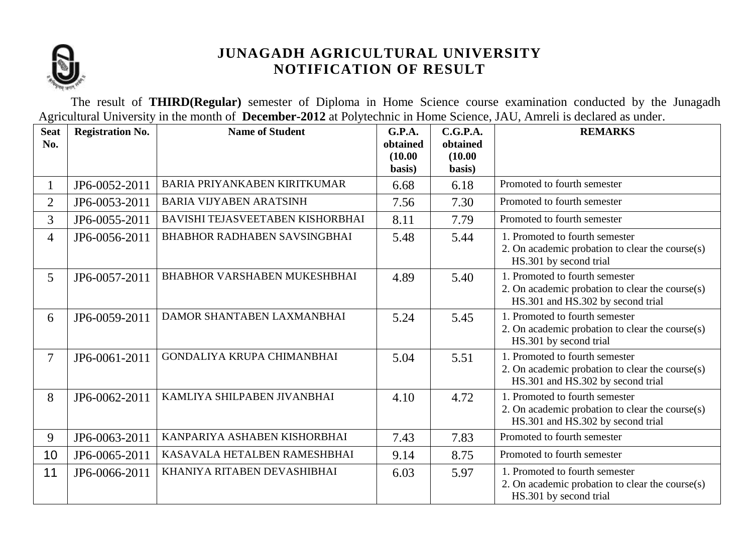

The result of **THIRD(Regular)** semester of Diploma in Home Science course examination conducted by the Junagadh Agricultural University in the month of **December-2012** at Polytechnic in Home Science, JAU, Amreli is declared as under.

| <b>Seat</b><br>No. | <b>Registration No.</b> | <b>Name of Student</b>              | G.P.A.<br>obtained<br>(10.00)<br>basis) | C.G.P.A.<br>obtained<br>(10.00)<br>basis) | <b>REMARKS</b>                                                                                                         |
|--------------------|-------------------------|-------------------------------------|-----------------------------------------|-------------------------------------------|------------------------------------------------------------------------------------------------------------------------|
| 1                  | JP6-0052-2011           | BARIA PRIYANKABEN KIRITKUMAR        | 6.68                                    | 6.18                                      | Promoted to fourth semester                                                                                            |
| $\overline{2}$     | JP6-0053-2011           | <b>BARIA VIJYABEN ARATSINH</b>      | 7.56                                    | 7.30                                      | Promoted to fourth semester                                                                                            |
| 3                  | JP6-0055-2011           | BAVISHI TEJASVEETABEN KISHORBHAI    | 8.11                                    | 7.79                                      | Promoted to fourth semester                                                                                            |
| 4                  | JP6-0056-2011           | <b>BHABHOR RADHABEN SAVSINGBHAI</b> | 5.48                                    | 5.44                                      | 1. Promoted to fourth semester<br>2. On academic probation to clear the course $(s)$<br>HS.301 by second trial         |
| 5                  | JP6-0057-2011           | <b>BHABHOR VARSHABEN MUKESHBHAI</b> | 4.89                                    | 5.40                                      | 1. Promoted to fourth semester<br>2. On academic probation to clear the course(s)<br>HS.301 and HS.302 by second trial |
| 6                  | JP6-0059-2011           | DAMOR SHANTABEN LAXMANBHAI          | 5.24                                    | 5.45                                      | 1. Promoted to fourth semester<br>2. On academic probation to clear the course(s)<br>HS.301 by second trial            |
| $\tau$             | JP6-0061-2011           | <b>GONDALIYA KRUPA CHIMANBHAI</b>   | 5.04                                    | 5.51                                      | 1. Promoted to fourth semester<br>2. On academic probation to clear the course(s)<br>HS.301 and HS.302 by second trial |
| 8                  | JP6-0062-2011           | KAMLIYA SHILPABEN JIVANBHAI         | 4.10                                    | 4.72                                      | 1. Promoted to fourth semester<br>2. On academic probation to clear the course(s)<br>HS.301 and HS.302 by second trial |
| 9                  | JP6-0063-2011           | KANPARIYA ASHABEN KISHORBHAI        | 7.43                                    | 7.83                                      | Promoted to fourth semester                                                                                            |
| 10                 | JP6-0065-2011           | KASAVALA HETALBEN RAMESHBHAI        | 9.14                                    | 8.75                                      | Promoted to fourth semester                                                                                            |
| 11                 | JP6-0066-2011           | KHANIYA RITABEN DEVASHIBHAI         | 6.03                                    | 5.97                                      | 1. Promoted to fourth semester<br>2. On academic probation to clear the course(s)<br>HS.301 by second trial            |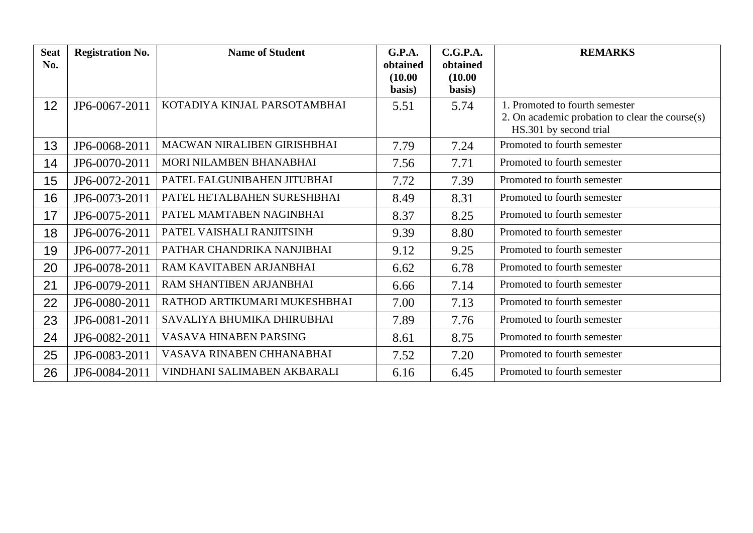| <b>Seat</b> | <b>Registration No.</b> | <b>Name of Student</b>       | <b>G.P.A.</b>       | C.G.P.A.            | <b>REMARKS</b>                                                                                              |
|-------------|-------------------------|------------------------------|---------------------|---------------------|-------------------------------------------------------------------------------------------------------------|
| No.         |                         |                              | obtained<br>(10.00) | obtained<br>(10.00) |                                                                                                             |
|             |                         |                              | basis)              | basis)              |                                                                                                             |
| 12          | JP6-0067-2011           | KOTADIYA KINJAL PARSOTAMBHAI | 5.51                | 5.74                | 1. Promoted to fourth semester<br>2. On academic probation to clear the course(s)<br>HS.301 by second trial |
| 13          | JP6-0068-2011           | MACWAN NIRALIBEN GIRISHBHAI  | 7.79                | 7.24                | Promoted to fourth semester                                                                                 |
| 14          | JP6-0070-2011           | MORI NILAMBEN BHANABHAI      | 7.56                | 7.71                | Promoted to fourth semester                                                                                 |
| 15          | JP6-0072-2011           | PATEL FALGUNIBAHEN JITUBHAI  | 7.72                | 7.39                | Promoted to fourth semester                                                                                 |
| 16          | JP6-0073-2011           | PATEL HETALBAHEN SURESHBHAI  | 8.49                | 8.31                | Promoted to fourth semester                                                                                 |
| 17          | JP6-0075-2011           | PATEL MAMTABEN NAGINBHAI     | 8.37                | 8.25                | Promoted to fourth semester                                                                                 |
| 18          | JP6-0076-2011           | PATEL VAISHALI RANJITSINH    | 9.39                | 8.80                | Promoted to fourth semester                                                                                 |
| 19          | JP6-0077-2011           | PATHAR CHANDRIKA NANJIBHAI   | 9.12                | 9.25                | Promoted to fourth semester                                                                                 |
| 20          | JP6-0078-2011           | RAM KAVITABEN ARJANBHAI      | 6.62                | 6.78                | Promoted to fourth semester                                                                                 |
| 21          | JP6-0079-2011           | RAM SHANTIBEN ARJANBHAI      | 6.66                | 7.14                | Promoted to fourth semester                                                                                 |
| 22          | JP6-0080-2011           | RATHOD ARTIKUMARI MUKESHBHAI | 7.00                | 7.13                | Promoted to fourth semester                                                                                 |
| 23          | JP6-0081-2011           | SAVALIYA BHUMIKA DHIRUBHAI   | 7.89                | 7.76                | Promoted to fourth semester                                                                                 |
| 24          | JP6-0082-2011           | VASAVA HINABEN PARSING       | 8.61                | 8.75                | Promoted to fourth semester                                                                                 |
| 25          | JP6-0083-2011           | VASAVA RINABEN CHHANABHAI    | 7.52                | 7.20                | Promoted to fourth semester                                                                                 |
| 26          | JP6-0084-2011           | VINDHANI SALIMABEN AKBARALI  | 6.16                | 6.45                | Promoted to fourth semester                                                                                 |